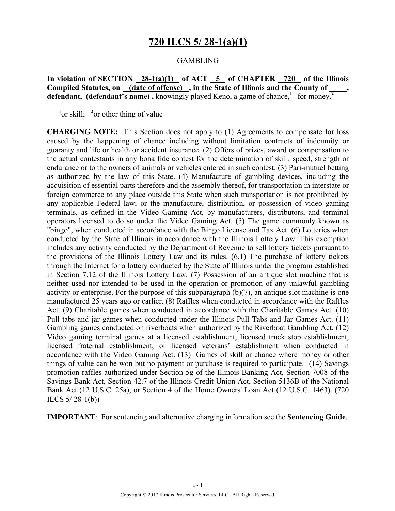### **720 ILCS 5/ 28-1(a)(1)**

#### **GAMBLING**

**In violation of SECTION 28-1(a)(1) of ACT 5 of CHAPTER 720 of the Illinois**  Compiled Statutes, on (date of offense), in the State of Illinois and the County of defendant, (defendant's name), knowingly played Keno, a game of chance,<sup>1</sup> for money.<sup>2</sup>

 $\frac{1}{2}$  or skill;  $\frac{2}{2}$  or other thing of value

**CHARGING NOTE:** This Section does not apply to (1) Agreements to compensate for loss caused by the happening of chance including without limitation contracts of indemnity or guaranty and life or health or accident insurance. (2) Offers of prizes, award or compensation to the actual contestants in any bona fide contest for the determination of skill, speed, strength or endurance or to the owners of animals or vehicles entered in such contest. (3) Pari-mutuel betting as authorized by the law of this State. (4) Manufacture of gambling devices, including the acquisition of essential parts therefore and the assembly thereof, for transportation in interstate or foreign commerce to any place outside this State when such transportation is not prohibited by any applicable Federal law; or the manufacture, distribution, or possession of video gaming terminals, as defined in the Video Gaming Act, by manufacturers, distributors, and terminal operators licensed to do so under the Video Gaming Act. (5) The game commonly known as "bingo", when conducted in accordance with the Bingo License and Tax Act. (6) Lotteries when conducted by the State of Illinois in accordance with the Illinois Lottery Law. This exemption includes any activity conducted by the Department of Revenue to sell lottery tickets pursuant to the provisions of the Illinois Lottery Law and its rules. (6.1) The purchase of lottery tickets through the Internet for a lottery conducted by the State of Illinois under the program established in Section 7.12 of the Illinois Lottery Law. (7) Possession of an antique slot machine that is neither used nor intended to be used in the operation or promotion of any unlawful gambling activity or enterprise. For the purpose of this subparagraph (b)(7), an antique slot machine is one manufactured 25 years ago or earlier. (8) Raffles when conducted in accordance with the Raffles Act. (9) Charitable games when conducted in accordance with the Charitable Games Act. (10) Pull tabs and jar games when conducted under the Illinois Pull Tabs and Jar Games Act. (11) Gambling games conducted on riverboats when authorized by the Riverboat Gambling Act. (12) Video gaming terminal games at a licensed establishment, licensed truck stop establishment, licensed fraternal establishment, or licensed veterans' establishment when conducted in accordance with the Video Gaming Act. (13) Games of skill or chance where money or other things of value can be won but no payment or purchase is required to participate. (14) Savings promotion raffles authorized under Section 5g of the Illinois Banking Act, Section 7008 of the Savings Bank Act, Section 42.7 of the Illinois Credit Union Act, Section 5136B of the National Bank Act (12 U.S.C. 25a), or Section 4 of the Home Owners' Loan Act (12 U.S.C. 1463). (720 ILCS  $5/28-1(b)$ 

**IMPORTANT**: For sentencing and alternative charging information see the **Sentencing Guide**.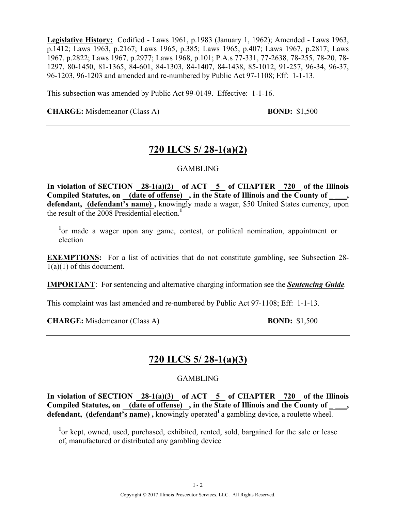**Legislative History:** Codified - Laws 1961, p.1983 (January 1, 1962); Amended - Laws 1963, p.1412; Laws 1963, p.2167; Laws 1965, p.385; Laws 1965, p.407; Laws 1967, p.2817; Laws 1967, p.2822; Laws 1967, p.2977; Laws 1968, p.101; P.A.s 77-331, 77-2638, 78-255, 78-20, 78- 1297, 80-1450, 81-1365, 84-601, 84-1303, 84-1407, 84-1438, 85-1012, 91-257, 96-34, 96-37, 96-1203, 96-1203 and amended and re-numbered by Public Act 97-1108; Eff: 1-1-13.

This subsection was amended by Public Act 99-0149. Effective: 1-1-16.

**CHARGE:** Misdemeanor (Class A) **BOND:** \$1,500

### **720 ILCS 5/ 28-1(a)(2)**

#### GAMBLING

**In violation of SECTION 28-1(a)(2) of ACT 5 of CHAPTER 720 of the Illinois**  Compiled Statutes, on (date of offense), in the State of Illinois and the County of **defendant, (defendant's name) ,** knowingly made a wager, \$50 United States currency, upon the result of the 2008 Presidential election.**<sup>1</sup>**

<sup>1</sup>or made a wager upon any game, contest, or political nomination, appointment or election

**EXEMPTIONS:** For a list of activities that do not constitute gambling, see Subsection 28- $1(a)(1)$  of this document.

**IMPORTANT**: For sentencing and alternative charging information see the *Sentencing Guide.*

This complaint was last amended and re-numbered by Public Act 97-1108; Eff: 1-1-13.

**CHARGE:** Misdemeanor (Class A) **BOND:** \$1,500

### **720 ILCS 5/ 28-1(a)(3)**

#### GAMBLING

**In violation of SECTION 28-1(a)(3) of ACT 5 of CHAPTER 720 of the Illinois**  Compiled Statutes, on (date of offense), in the State of Illinois and the County of defendant, (defendant's name), knowingly operated<sup>1</sup> a gambling device, a roulette wheel.

<sup>1</sup>or kept, owned, used, purchased, exhibited, rented, sold, bargained for the sale or lease of, manufactured or distributed any gambling device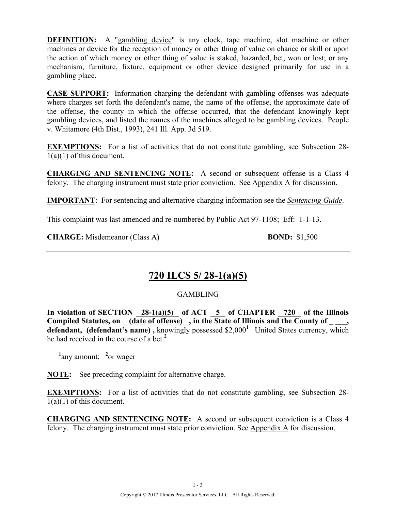**DEFINITION:** A "gambling device" is any clock, tape machine, slot machine or other machines or device for the reception of money or other thing of value on chance or skill or upon the action of which money or other thing of value is staked, hazarded, bet, won or lost; or any mechanism, furniture, fixture, equipment or other device designed primarily for use in a gambling place.

**CASE SUPPORT:** Information charging the defendant with gambling offenses was adequate where charges set forth the defendant's name, the name of the offense, the approximate date of the offense, the county in which the offense occurred, that the defendant knowingly kept gambling devices, and listed the names of the machines alleged to be gambling devices. People v. Whitamore (4th Dist., 1993), 241 Ill. App. 3d 519.

**EXEMPTIONS:** For a list of activities that do not constitute gambling, see Subsection 28- $1(a)(1)$  of this document.

**CHARGING AND SENTENCING NOTE:** A second or subsequent offense is a Class 4 felony. The charging instrument must state prior conviction. See Appendix A for discussion.

**IMPORTANT**: For sentencing and alternative charging information see the *Sentencing Guide*.

This complaint was last amended and re-numbered by Public Act 97-1108; Eff: 1-1-13.

**CHARGE:** Misdemeanor (Class A) **BOND:** \$1,500

### **720 ILCS 5/ 28-1(a)(5)**

#### GAMBLING

In violation of SECTION 28-1(a)(5) of ACT 5 of CHAPTER 720 of the Illinois Compiled Statutes, on (date of offense), in the State of Illinois and the County of **defendant, (defendant's name),** knowingly possessed \$2,000<sup>1</sup> United States currency, which he had received in the course of a bet.**<sup>2</sup>**

<sup>1</sup>any amount; <sup>2</sup> or wager

**NOTE:** See preceding complaint for alternative charge.

**EXEMPTIONS:** For a list of activities that do not constitute gambling, see Subsection 28- $1(a)(1)$  of this document.

**CHARGING AND SENTENCING NOTE:** A second or subsequent conviction is a Class 4 felony. The charging instrument must state prior conviction. See Appendix A for discussion.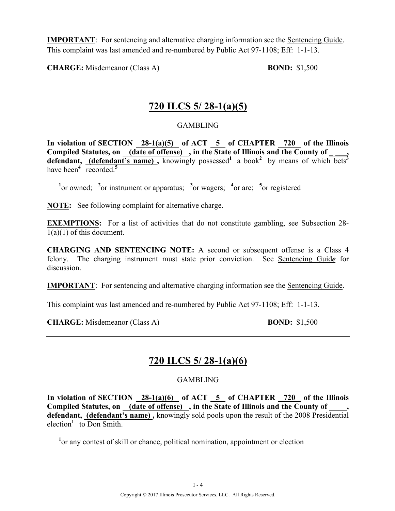**IMPORTANT**: For sentencing and alternative charging information see the Sentencing Guide. This complaint was last amended and re-numbered by Public Act 97-1108; Eff: 1-1-13.

**CHARGE:** Misdemeanor (Class A) **BOND:** \$1,500

### **720 ILCS 5/ 28-1(a)(5)**

#### GAMBLING

In violation of SECTION 28-1(a)(5) of ACT 5 of CHAPTER 720 of the Illinois Compiled Statutes, on <u>(date of offense)</u>, in the State of Illinois and the County of \_\_\_\_, **defendant, (defendant's name)**, knowingly possessed<sup>1</sup> a book<sup>2</sup> by means of which bets<sup>3</sup> have been<sup> $4$ </sup> recorded.<sup>5</sup>

<sup>1</sup><sup>or</sup> owned; <sup>2</sup><sup>or</sup> instrument or apparatus; <sup>3</sup><sup>or</sup> wagers; <sup>4</sup><sup>or</sup> are; <sup>5</sup><sup>or</sup> registered

**NOTE:** See following complaint for alternative charge.

**EXEMPTIONS:** For a list of activities that do not constitute gambling, see Subsection 28- $1(a)(1)$  of this document.

**CHARGING AND SENTENCING NOTE:** A second or subsequent offense is a Class 4 felony. The charging instrument must state prior conviction. See Sentencing Guid*e* for discussion.

**IMPORTANT**: For sentencing and alternative charging information see the Sentencing Guide.

This complaint was last amended and re-numbered by Public Act 97-1108; Eff: 1-1-13.

**CHARGE:** Misdemeanor (Class A) **BOND:** \$1,500

### **720 ILCS 5/ 28-1(a)(6)**

#### GAMBLING

**In violation of SECTION 28-1(a)(6) of ACT 5 of CHAPTER 720 of the Illinois**  Compiled Statutes, on (date of offense), in the State of Illinois and the County of defendant, (defendant's name), knowingly sold pools upon the result of the 2008 Presidential election<sup>1</sup> to Don Smith.

<sup>1</sup> or any contest of skill or chance, political nomination, appointment or election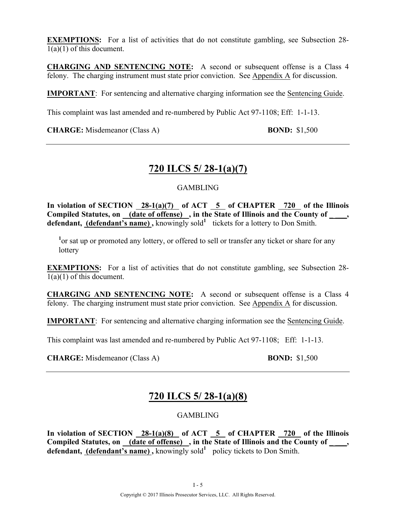**EXEMPTIONS:** For a list of activities that do not constitute gambling, see Subsection 28- $1(a)(1)$  of this document.

**CHARGING AND SENTENCING NOTE:** A second or subsequent offense is a Class 4 felony. The charging instrument must state prior conviction. See Appendix A for discussion.

**IMPORTANT**: For sentencing and alternative charging information see the Sentencing Guide.

This complaint was last amended and re-numbered by Public Act 97-1108; Eff: 1-1-13.

**CHARGE:** Misdemeanor (Class A) **BOND:** \$1,500

### **720 ILCS 5/ 28-1(a)(7)**

#### GAMBLING

**In violation of SECTION 28-1(a)(7) of ACT 5 of CHAPTER 720 of the Illinois**  Compiled Statutes, on (date of offense), in the State of Illinois and the County of \_\_\_\_, defendant, (defendant's name), knowingly sold<sup>1</sup> tickets for a lottery to Don Smith.

<sup>1</sup> or sat up or promoted any lottery, or offered to sell or transfer any ticket or share for any **lottery** 

**EXEMPTIONS:** For a list of activities that do not constitute gambling, see Subsection 28- $1(a)(1)$  of this document.

**CHARGING AND SENTENCING NOTE:** A second or subsequent offense is a Class 4 felony. The charging instrument must state prior conviction. See Appendix A for discussion.

**IMPORTANT**: For sentencing and alternative charging information see the Sentencing Guide.

This complaint was last amended and re-numbered by Public Act 97-1108; Eff: 1-1-13.

**CHARGE:** Misdemeanor (Class A) **BOND:** \$1,500

### **720 ILCS 5/ 28-1(a)(8)**

GAMBLING

**In violation of SECTION 28-1(a)(8) of ACT 5 of CHAPTER 720 of the Illinois Compiled Statutes, on (date of offense) , in the State of Illinois and the County of \_ \_\_\_, defendant, (defendant's name),** knowingly sold<sup>1</sup> policy tickets to Don Smith.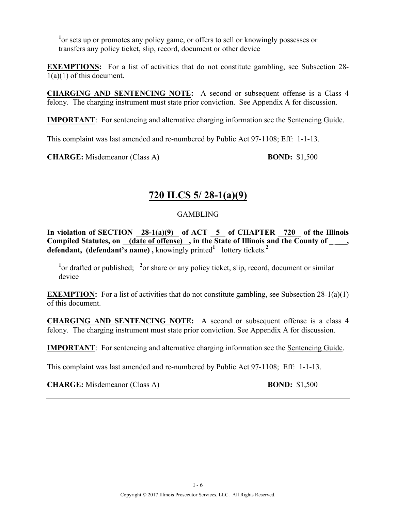<sup>1</sup> or sets up or promotes any policy game, or offers to sell or knowingly possesses or transfers any policy ticket, slip, record, document or other device

**EXEMPTIONS:** For a list of activities that do not constitute gambling, see Subsection 28- $1(a)(1)$  of this document.

**CHARGING AND SENTENCING NOTE:** A second or subsequent offense is a Class 4 felony. The charging instrument must state prior conviction. See Appendix  $\overline{A}$  for discussion.

**IMPORTANT**: For sentencing and alternative charging information see the Sentencing Guide.

This complaint was last amended and re-numbered by Public Act 97-1108; Eff: 1-1-13.

**CHARGE:** Misdemeanor (Class A) **BOND:** \$1,500

## **720 ILCS 5/ 28-1(a)(9)**

#### GAMBLING

In violation of SECTION 28-1(a)(9) of ACT 5 of CHAPTER 720 of the Illinois **Compiled Statutes, on (date of offense) , in the State of Illinois and the County of \_ \_\_\_, defendant, (defendant's name)**, knowingly printed<sup>1</sup> lottery tickets.<sup>2</sup>

<sup>1</sup> or drafted or published; <sup>2</sup> or share or any policy ticket, slip, record, document or similar device

**EXEMPTION:** For a list of activities that do not constitute gambling, see Subsection 28-1(a)(1) of this document.

**CHARGING AND SENTENCING NOTE:** A second or subsequent offense is a class 4 felony. The charging instrument must state prior conviction. See Appendix A for discussion.

**IMPORTANT**: For sentencing and alternative charging information see the Sentencing Guide.

This complaint was last amended and re-numbered by Public Act 97-1108; Eff: 1-1-13.

**CHARGE:** Misdemeanor (Class A) **BOND:** \$1,500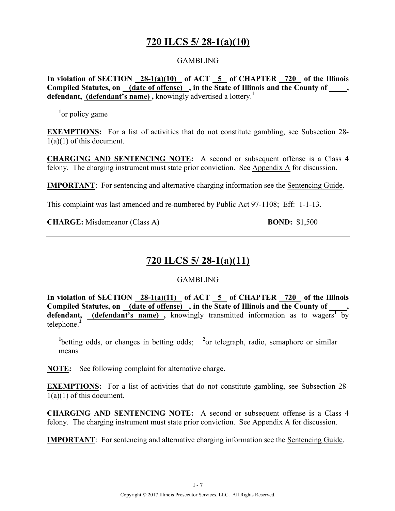### **720 ILCS 5/ 28-1(a)(10)**

#### GAMBLING

In violation of SECTION 28-1(a)(10) of ACT 5 of CHAPTER 720 of the Illinois **Compiled Statutes, on (date of offense) , in the State of Illinois and the County of \_ \_\_\_, defendant, (defendant's name) ,** knowingly advertised a lottery.**<sup>1</sup>**

<sup>1</sup><sup>or</sup> policy game

**EXEMPTIONS:** For a list of activities that do not constitute gambling, see Subsection 28-1(a)(1) of this document.

**CHARGING AND SENTENCING NOTE:** A second or subsequent offense is a Class 4 felony. The charging instrument must state prior conviction. See Appendix A for discussion.

**IMPORTANT**: For sentencing and alternative charging information see the Sentencing Guide.

This complaint was last amended and re-numbered by Public Act 97-1108; Eff: 1-1-13.

**CHARGE:** Misdemeanor (Class A) **BOND:** \$1,500

### **720 ILCS 5/ 28-1(a)(11)**

#### GAMBLING

**In violation of SECTION 28-1(a)(11) of ACT 5 of CHAPTER 720 of the Illinois**  Compiled Statutes, on (date of offense), in the State of Illinois and the County of defendant, (defendant's name), knowingly transmitted information as to wagers<sup>1</sup> by telephone.**<sup>2</sup>**

<sup>1</sup>betting odds, or changes in betting odds; <sup>2</sup> or telegraph, radio, semaphore or similar means

**NOTE:** See following complaint for alternative charge.

**EXEMPTIONS:** For a list of activities that do not constitute gambling, see Subsection 28-1(a)(1) of this document.

**CHARGING AND SENTENCING NOTE:** A second or subsequent offense is a Class 4 felony. The charging instrument must state prior conviction. See Appendix A for discussion.

**IMPORTANT**: For sentencing and alternative charging information see the Sentencing Guide.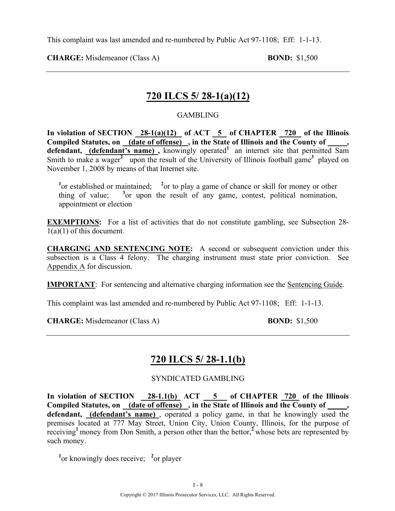**CHARGE:** Misdemeanor (Class A) **BOND:** \$1,500

### **720 ILCS 5/ 28-1(a)(12)**

#### GAMBLING

**In violation of SECTION 28-1(a)(12) of ACT 5 of CHAPTER 720 of the Illinois Compiled Statutes, on (date of offense) , in the State of Illinois and the County of \_\_\_\_\_,**  defendant, (defendant's name), knowingly operated<sup>1</sup> an internet site that permitted Sam Smith to make a wager<sup>2</sup> upon the result of the University of Illinois football game<sup>3</sup> played on November 1, 2008 by means of that Internet site.

<sup>1</sup> or established or maintained; <sup>2</sup> or to play a game of chance or skill for money or other thing of value; **<sup>3</sup>**  $\delta$  or upon the result of any game, contest, political nomination, appointment or election

**EXEMPTIONS:** For a list of activities that do not constitute gambling, see Subsection 28- $1(a)(1)$  of this document.

**CHARGING AND SENTENCING NOTE:** A second or subsequent conviction under this subsection is a Class 4 felony. The charging instrument must state prior conviction. See Appendix A for discussion.

**IMPORTANT**: For sentencing and alternative charging information see the Sentencing Guide.

This complaint was last amended and re-numbered by Public Act 97-1108; Eff: 1-1-13.

**CHARGE:** Misdemeanor (Class A) **BOND:** \$1,500

### **720 ILCS 5/ 28-1.1(b)**

SYNDICATED GAMBLING

**In violation of SECTION 28-1.1(b) ACT 5 of CHAPTER 720 of the Illinois**  Compiled Statutes, on (date of offense), in the State of Illinois and the County of **defendant, (defendant's name)** , operated a policy game, in that he knowingly used the premises located at 777 May Street, Union City, Union County, Illinois, for the purpose of receiving**<sup>1</sup>**money from Don Smith, a person other than the bettor,**<sup>2</sup>**whose bets are represented by such money.

<sup>1</sup> or knowingly does receive; <sup>2</sup> or player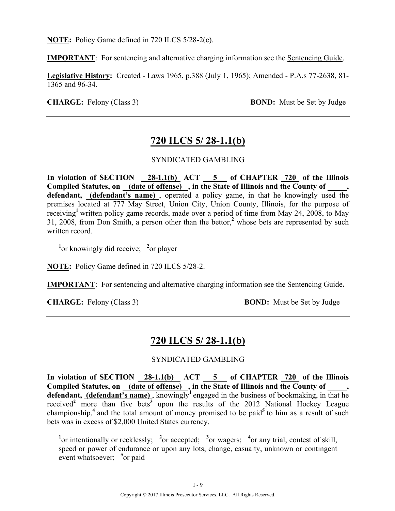**NOTE:** Policy Game defined in 720 ILCS 5/28-2(c).

**IMPORTANT**: For sentencing and alternative charging information see the Sentencing Guide.

**Legislative History:** Created - Laws 1965, p.388 (July 1, 1965); Amended - P.A.s 77-2638, 81- 1365 and 96-34.

**CHARGE:** Felony (Class 3) **BOND:** Must be Set by Judge

### **720 ILCS 5/ 28-1.1(b)**

#### SYNDICATED GAMBLING

**In violation of SECTION 28-1.1(b) ACT 5 of CHAPTER 720 of the Illinois Compiled Statutes, on (date of offense) , in the State of Illinois and the County of \_\_\_\_\_, defendant, (defendant's name)** , operated a policy game, in that he knowingly used the premises located at 777 May Street, Union City, Union County, Illinois, for the purpose of receiving**<sup>1</sup>**written policy game records, made over a period of time from May 24, 2008, to May 31, 2008, from Don Smith, a person other than the bettor,**<sup>2</sup>** whose bets are represented by such written record.

<sup>1</sup><sup>or</sup> knowingly did receive; <sup>2</sup><sup>or</sup> player

**NOTE:** Policy Game defined in 720 ILCS 5/28-2.

**IMPORTANT**: For sentencing and alternative charging information see the Sentencing Guide**.**

**CHARGE:** Felony (Class 3) **BOND:** Must be Set by Judge

### **720 ILCS 5/ 28-1.1(b)**

#### SYNDICATED GAMBLING

In violation of SECTION 28-1.1(b) ACT 5 of CHAPTER 720 of the Illinois Compiled Statutes, on <u>(date of offense)</u>, in the State of Illinois and the County of defendant, *(defendant's name)*, knowingly<sup>1</sup> engaged in the business of bookmaking, in that he received<sup>2</sup> more than five bets<sup>3</sup> upon the results of the 2012 National Hockey League championship,<sup>4</sup> and the total amount of money promised to be paid<sup>5</sup> to him as a result of such bets was in excess of \$2,000 United States currency.

<sup>1</sup><sup>or</sup> intentionally or recklessly; <sup>2</sup><sup>or</sup> accepted; <sup>3</sup><sup>or</sup> wagers; <sup>4</sup><sup>or</sup> any trial, contest of skill, speed or power of endurance or upon any lots, change, casualty, unknown or contingent event whatsoever; <sup>5</sup> or paid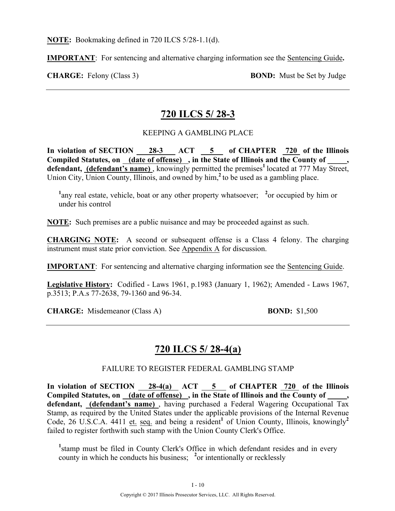**NOTE:** Bookmaking defined in 720 ILCS 5/28-1.1(d).

**IMPORTANT**: For sentencing and alternative charging information see the Sentencing Guide**.**

**CHARGE:** Felony (Class 3) **BOND:** Must be Set by Judge

### **720 ILCS 5/ 28-3**

#### KEEPING A GAMBLING PLACE

**In violation of SECTION 28-3 ACT 5 of CHAPTER 720 of the Illinois**  Compiled Statutes, on (date of offense), in the State of Illinois and the County of defendant, (defendant's name), knowingly permitted the premises<sup>1</sup> located at 777 May Street, Union City, Union County, Illinois, and owned by him,**<sup>2</sup>**to be used as a gambling place.

<sup>1</sup>any real estate, vehicle, boat or any other property whatsoever; <sup>2</sup> or occupied by him or under his control

**NOTE:** Such premises are a public nuisance and may be proceeded against as such.

**CHARGING NOTE:** A second or subsequent offense is a Class 4 felony. The charging instrument must state prior conviction. See Appendix A for discussion.

**IMPORTANT**: For sentencing and alternative charging information see the Sentencing Guide.

**Legislative History:** Codified - Laws 1961, p.1983 (January 1, 1962); Amended - Laws 1967, p.3513; P.A.s 77-2638, 79-1360 and 96-34.

**CHARGE:** Misdemeanor (Class A) **BOND:** \$1,500

### **720 ILCS 5/ 28-4(a)**

#### FAILURE TO REGISTER FEDERAL GAMBLING STAMP

In violation of SECTION 28-4(a) ACT 5 of CHAPTER 720 of the Illinois Compiled Statutes, on (date of offense), in the State of Illinois and the County of **defendant, (defendant's name)** , having purchased a Federal Wagering Occupational Tax Stamp, as required by the United States under the applicable provisions of the Internal Revenue Code, 26 U.S.C.A. 4411 et. seq. and being a resident<sup>1</sup> of Union County, Illinois, knowingly<sup>2</sup> failed to register forthwith such stamp with the Union County Clerk's Office.

<sup>1</sup> stamp must be filed in County Clerk's Office in which defendant resides and in every county in which he conducts his business; **<sup>2</sup>** or intentionally or recklessly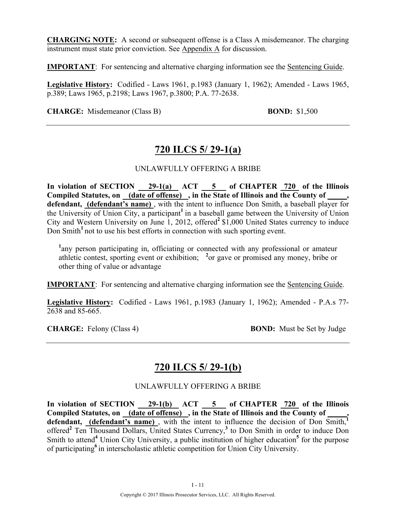**CHARGING NOTE:** A second or subsequent offense is a Class A misdemeanor. The charging instrument must state prior conviction. See Appendix A for discussion.

**IMPORTANT**: For sentencing and alternative charging information see the Sentencing Guide.

**Legislative History:** Codified - Laws 1961, p.1983 (January 1, 1962); Amended - Laws 1965, p.389; Laws 1965, p.2198; Laws 1967, p.3800; P.A. 77-2638.

**CHARGE:** Misdemeanor (Class B) **BOND:** \$1,500

### **720 ILCS 5/ 29-1(a)**

#### UNLAWFULLY OFFERING A BRIBE

**In violation of SECTION 29-1(a) ACT 5 of CHAPTER 720 of the Illinois Compiled Statutes, on (date of offense) , in the State of Illinois and the County of \_\_\_\_\_, defendant, (defendant's name)** , with the intent to influence Don Smith, a baseball player for the University of Union City, a participant**<sup>1</sup>**in a baseball game between the University of Union City and Western University on June 1, 2012, offered**<sup>2</sup>**\$1,000 United States currency to induce Don Smith<sup>1</sup> not to use his best efforts in connection with such sporting event.

<sup>1</sup>any person participating in, officiating or connected with any professional or amateur athletic contest, sporting event or exhibition; **<sup>2</sup>** or gave or promised any money, bribe or other thing of value or advantage

**IMPORTANT**: For sentencing and alternative charging information see the Sentencing Guide.

**Legislative History:** Codified - Laws 1961, p.1983 (January 1, 1962); Amended - P.A.s 77- 2638 and 85-665.

**CHARGE:** Felony (Class 4) **BOND:** Must be Set by Judge

### **720 ILCS 5/ 29-1(b)**

#### UNLAWFULLY OFFERING A BRIBE

In violation of SECTION 29-1(b) ACT 5 of CHAPTER 720 of the Illinois **Compiled Statutes, on (date of offense) , in the State of Illinois and the County of \_\_\_\_\_,**  defendant, **(defendant's name)**, with the intent to influence the decision of Don Smith,<sup>1</sup> offered**<sup>2</sup>** Ten Thousand Dollars, United States Currency,**<sup>3</sup>** to Don Smith in order to induce Don Smith to attend<sup>4</sup> Union City University, a public institution of higher education<sup>5</sup> for the purpose of participating**<sup>6</sup>**in interscholastic athletic competition for Union City University.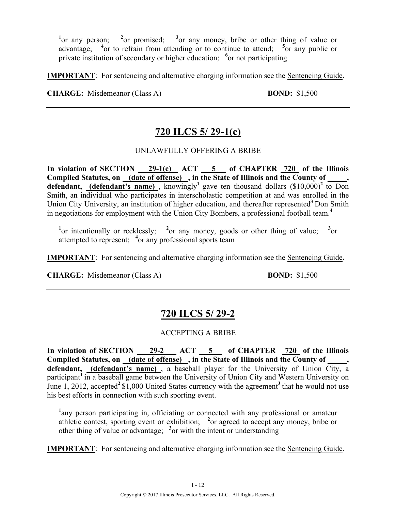<sup>1</sup><sub>or any person; <sup>2</sup></sub> or promised; <sup>3</sup> or any money, bribe or other thing of value or advantage; <sup>4</sup> or to refrain from attending or to continue to attend; <sup>5</sup> or any public or private institution of secondary or higher education; <sup>6</sup> or not participating

**IMPORTANT**: For sentencing and alternative charging information see the Sentencing Guide**.**

**CHARGE:** Misdemeanor (Class A) **BOND:** \$1,500

## **720 ILCS 5/ 29-1(c)**

#### UNLAWFULLY OFFERING A BRIBE

In violation of SECTION <u>29-1(c)</u> ACT 5 of CHAPTER 720 of the Illinois Compiled Statutes, on **(date of offense)**, in the State of Illinois and the County of **defendant, (defendant's name)**, knowingly<sup>1</sup> gave ten thousand dollars (\$10,000)<sup>2</sup> to Don Smith, an individual who participates in interscholastic competition at and was enrolled in the Union City University, an institution of higher education, and thereafter represented<sup>3</sup> Don Smith in negotiations for employment with the Union City Bombers, a professional football team.**<sup>4</sup>**

<sup>1</sup><sup>or</sup> intentionally or recklessly; <sup>2</sup><sup>or</sup> any money, goods or other thing of value; <sup>3</sup>  $3_{\text{or}}$ attempted to represent; <sup>4</sup> or any professional sports team

**IMPORTANT**: For sentencing and alternative charging information see the Sentencing Guide**.**

**CHARGE:** Misdemeanor (Class A) **BOND:** \$1,500

## **720 ILCS 5/ 29-2**

#### ACCEPTING A BRIBE

In violation of SECTION 29-2 ACT 5 of CHAPTER 720 of the Illinois Compiled Statutes, on (date of offense), in the State of Illinois and the County of **defendant, (defendant's name)** , a baseball player for the University of Union City, a participant<sup>1</sup> in a baseball game between the University of Union City and Western University on June 1, 2012, accepted<sup>2</sup> \$1,000 United States currency with the agreement<sup>3</sup> that he would not use his best efforts in connection with such sporting event.

<sup>1</sup>any person participating in, officiating or connected with any professional or amateur athletic contest, sporting event or exhibition; **<sup>2</sup>** or agreed to accept any money, bribe or other thing of value or advantage; **<sup>3</sup>** or with the intent or understanding

**IMPORTANT**: For sentencing and alternative charging information see the Sentencing Guide.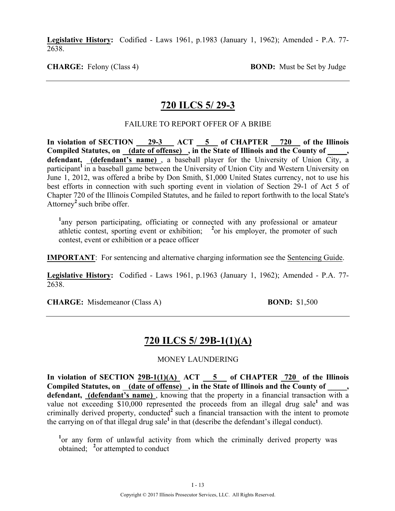**Legislative History:** Codified - Laws 1961, p.1983 (January 1, 1962); Amended - P.A. 77- 2638.

**CHARGE:** Felony (Class 4) **BOND:** Must be Set by Judge

### **720 ILCS 5/ 29-3**

#### FAILURE TO REPORT OFFER OF A BRIBE

In violation of SECTION 29-3 ACT 5 of CHAPTER 720 of the Illinois **Compiled Statutes, on (date of offense) , in the State of Illinois and the County of \_\_\_\_\_, defendant, (defendant's name)** , a baseball player for the University of Union City, a participant<sup>1</sup> in a baseball game between the University of Union City and Western University on June 1, 2012, was offered a bribe by Don Smith, \$1,000 United States currency, not to use his best efforts in connection with such sporting event in violation of Section 29-1 of Act 5 of Chapter 720 of the Illinois Compiled Statutes, and he failed to report forthwith to the local State's Attorney**<sup>2</sup>**such bribe offer.

<sup>1</sup>any person participating, officiating or connected with any professional or amateur athletic contest, sporting event or exhibition; **<sup>2</sup>** or his employer, the promoter of such contest, event or exhibition or a peace officer

**IMPORTANT**: For sentencing and alternative charging information see the Sentencing Guide.

**Legislative History:** Codified - Laws 1961, p.1963 (January 1, 1962); Amended - P.A. 77- 2638.

**CHARGE:** Misdemeanor (Class A) **BOND:** \$1,500

## **720 ILCS 5/ 29B-1(1)(A)**

#### MONEY LAUNDERING

In violation of SECTION  $29B-1(1)(A)$  ACT  $\overline{\hspace{1cm}}$  5 of CHAPTER  $\overline{\hspace{1cm}}$  720 of the Illinois Compiled Statutes, on (date of offense), in the State of Illinois and the County of defendant, (defendant's name), knowing that the property in a financial transaction with a value not exceeding \$10,000 represented the proceeds from an illegal drug sale<sup>1</sup> and was criminally derived property, conducted<sup>2</sup> such a financial transaction with the intent to promote the carrying on of that illegal drug sale**<sup>1</sup>**in that (describe the defendant's illegal conduct).

<sup>1</sup> or any form of unlawful activity from which the criminally derived property was obtained; <sup>2</sup> or attempted to conduct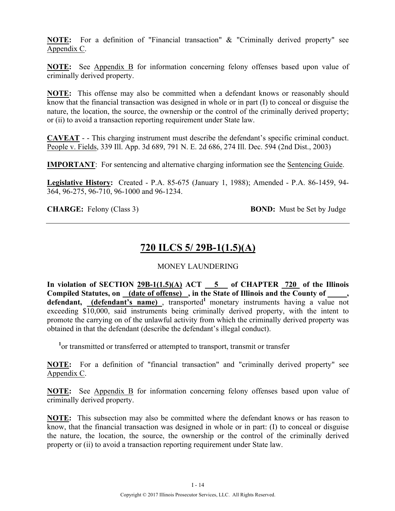**NOTE:** For a definition of "Financial transaction" & "Criminally derived property" see Appendix C.

**NOTE:** See Appendix B for information concerning felony offenses based upon value of criminally derived property.

**NOTE:** This offense may also be committed when a defendant knows or reasonably should know that the financial transaction was designed in whole or in part (I) to conceal or disguise the nature, the location, the source, the ownership or the control of the criminally derived property; or (ii) to avoid a transaction reporting requirement under State law.

**CAVEAT** - - This charging instrument must describe the defendant's specific criminal conduct. People v. Fields, 339 Ill. App. 3d 689, 791 N. E. 2d 686, 274 Ill. Dec. 594 (2nd Dist., 2003)

**IMPORTANT**: For sentencing and alternative charging information see the Sentencing Guide.

**Legislative History:** Created - P.A. 85-675 (January 1, 1988); Amended - P.A. 86-1459, 94- 364, 96-275, 96-710, 96-1000 and 96-1234.

**CHARGE:** Felony (Class 3) **BOND:** Must be Set by Judge

## **720 ILCS 5/ 29B-1(1.5)(A)**

#### MONEY LAUNDERING

In violation of SECTION  $29B-1(1.5)(A)$  ACT  $-5$  of CHAPTER 720 of the Illinois Compiled Statutes, on (date of offense), in the State of Illinois and the County of, defendant, **(defendant's name)**, transported<sup>1</sup> monetary instruments having a value not exceeding \$10,000, said instruments being criminally derived property, with the intent to promote the carrying on of the unlawful activity from which the criminally derived property was obtained in that the defendant (describe the defendant's illegal conduct).

<sup>1</sup> or transmitted or transferred or attempted to transport, transmit or transfer

**NOTE:** For a definition of "financial transaction" and "criminally derived property" see Appendix C.

**NOTE:** See Appendix B for information concerning felony offenses based upon value of criminally derived property.

**NOTE:** This subsection may also be committed where the defendant knows or has reason to know, that the financial transaction was designed in whole or in part: (I) to conceal or disguise the nature, the location, the source, the ownership or the control of the criminally derived property or (ii) to avoid a transaction reporting requirement under State law.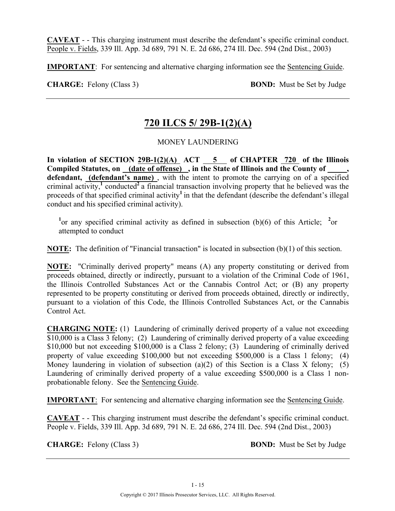**CAVEAT** - - This charging instrument must describe the defendant's specific criminal conduct. People v. Fields, 339 Ill. App. 3d 689, 791 N. E. 2d 686, 274 Ill. Dec. 594 (2nd Dist., 2003)

**IMPORTANT**: For sentencing and alternative charging information see the Sentencing Guide.

**CHARGE:** Felony (Class 3) **BOND:** Must be Set by Judge

### **720 ILCS 5/ 29B-1(2)(A)**

MONEY LAUNDERING

In violation of SECTION  $29B-1(2)(A)$  ACT  $\overline{5}$  of CHAPTER  $\overline{720}$  of the Illinois Compiled Statutes, on (date of offense), in the State of Illinois and the County of defendant, (defendant's name), with the intent to promote the carrying on of a specified criminal activity,**<sup>1</sup>** conducted**<sup>2</sup>**a financial transaction involving property that he believed was the proceeds of that specified criminal activity**<sup>1</sup>**in that the defendant (describe the defendant's illegal conduct and his specified criminal activity).

<sup>1</sup> or any specified criminal activity as defined in subsection (b)(6) of this Article; <sup>2</sup> or attempted to conduct

**NOTE:** The definition of "Financial transaction" is located in subsection (b)(1) of this section.

**NOTE:** "Criminally derived property" means (A) any property constituting or derived from proceeds obtained, directly or indirectly, pursuant to a violation of the Criminal Code of 1961, the Illinois Controlled Substances Act or the Cannabis Control Act; or (B) any property represented to be property constituting or derived from proceeds obtained, directly or indirectly, pursuant to a violation of this Code, the Illinois Controlled Substances Act, or the Cannabis Control Act.

**CHARGING NOTE:** (1) Laundering of criminally derived property of a value not exceeding  $\overline{$10,000}$$  is a Class 3 felony; (2) Laundering of criminally derived property of a value exceeding \$10,000 but not exceeding \$100,000 is a Class 2 felony; (3) Laundering of criminally derived property of value exceeding \$100,000 but not exceeding \$500,000 is a Class 1 felony; (4) Money laundering in violation of subsection (a)(2) of this Section is a Class X felony; (5) Laundering of criminally derived property of a value exceeding \$500,000 is a Class 1 nonprobationable felony. See the Sentencing Guide.

**IMPORTANT**: For sentencing and alternative charging information see the Sentencing Guide.

**CAVEAT** - - This charging instrument must describe the defendant's specific criminal conduct. People v. Fields, 339 Ill. App. 3d 689, 791 N. E. 2d 686, 274 Ill. Dec. 594 (2nd Dist., 2003)

**CHARGE:** Felony (Class 3) **BOND:** Must be Set by Judge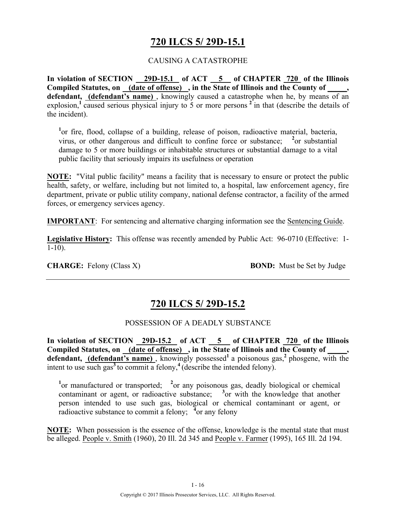## **720 ILCS 5/ 29D-15.1**

#### CAUSING A CATASTROPHE

**In violation of SECTION 29D-15.1 of ACT 5 of CHAPTER 720 of the Illinois Compiled Statutes, on (date of offense) , in the State of Illinois and the County of \_\_\_\_\_, defendant, (defendant's name)** , knowingly caused a catastrophe when he, by means of an explosion,<sup>1</sup> caused serious physical injury to 5 or more persons  $2^1$  in that (describe the details of the incident).

<sup>1</sup>or fire, flood, collapse of a building, release of poison, radioactive material, bacteria, virus, or other dangerous and difficult to confine force or substance; <sup>2</sup>or substantial damage to 5 or more buildings or inhabitable structures or substantial damage to a vital public facility that seriously impairs its usefulness or operation

**NOTE:** "Vital public facility" means a facility that is necessary to ensure or protect the public health, safety, or welfare, including but not limited to, a hospital, law enforcement agency, fire department, private or public utility company, national defense contractor, a facility of the armed forces, or emergency services agency.

**IMPORTANT**: For sentencing and alternative charging information see the Sentencing Guide.

**Legislative History:** This offense was recently amended by Public Act: 96-0710 (Effective: 1-  $1-10$ ).

**CHARGE:** Felony (Class X) **BOND:** Must be Set by Judge

### **720 ILCS 5/ 29D-15.2**

#### POSSESSION OF A DEADLY SUBSTANCE

**In violation of SECTION 29D-15.2 of ACT 5 of CHAPTER 720 of the Illinois**  Compiled Statutes, on (date of offense), in the State of Illinois and the County of defendant, (defendant's name), knowingly possessed<sup>1</sup> a poisonous gas,<sup>2</sup> phosgene, with the intent to use such gas<sup>3</sup> to commit a felony,<sup>4</sup> (describe the intended felony).

<sup>1</sup><sup>or</sup> manufactured or transported; <sup>2</sup><sup>or</sup> any poisonous gas, deadly biological or chemical contaminant or agent, or radioactive substance; **<sup>3</sup>** or with the knowledge that another person intended to use such gas, biological or chemical contaminant or agent, or radioactive substance to commit a felony; <sup>4</sup> or any felony

**NOTE:** When possession is the essence of the offense, knowledge is the mental state that must be alleged. People v. Smith (1960), 20 Ill. 2d 345 and People v. Farmer (1995), 165 Ill. 2d 194.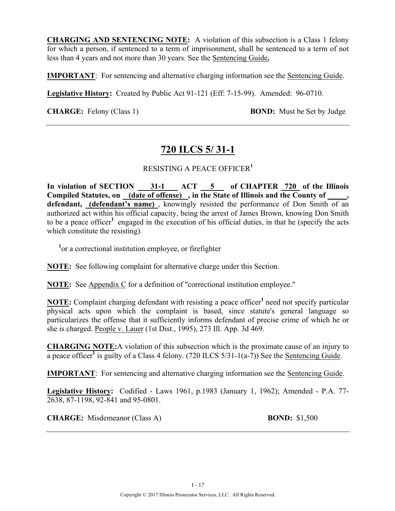**CHARGING AND SENTENCING NOTE:** A violation of this subsection is a Class 1 felony for which a person, if sentenced to a term of imprisonment, shall be sentenced to a term of not less than 4 years and not more than 30 years. See the Sentencing Guide**.**

**IMPORTANT**: For sentencing and alternative charging information see the Sentencing Guide.

**Legislative History:** Created by Public Act 91-121 (Eff: 7-15-99). Amended: 96-0710.

**CHARGE:** Felony (Class 1) **BOND:** Must be Set by Judge

### **720 ILCS 5/ 31-1**

#### RESISTING A PEACE OFFICER**<sup>1</sup>**

**In violation of SECTION 31-1 ACT 5 of CHAPTER 720 of the Illinois Compiled Statutes, on (date of offense) , in the State of Illinois and the County of \_\_\_\_\_, defendant, (defendant's name)** , knowingly resisted the performance of Don Smith of an authorized act within his official capacity, being the arrest of James Brown, knowing Don Smith to be a peace officer<sup>1</sup> engaged in the execution of his official duties, in that he (specify the acts which constitute the resisting).

<sup>1</sup> or a correctional institution employee, or firefighter

**NOTE:** See following complaint for alternative charge under this Section.

**NOTE:** See Appendix C for a definition of "correctional institution employee."

**NOTE:** Complaint charging defendant with resisting a peace officer<sup>1</sup> need not specify particular physical acts upon which the complaint is based, since statute's general language so particularizes the offense that it sufficiently informs defendant of precise crime of which he or she is charged. People v. Lauer (1st Dist., 1995), 273 Ill. App. 3d 469.

**CHARGING NOTE:**A violation of this subsection which is the proximate cause of an injury to a peace officer<sup>1</sup> is guilty of a Class 4 felony. (720 ILCS  $5/31$ -1(a-7)) See the Sentencing Guide.

**IMPORTANT**: For sentencing and alternative charging information see the Sentencing Guide.

**Legislative History:** Codified - Laws 1961, p.1983 (January 1, 1962); Amended - P.A. 77- 2638, 87-1198, 92-841 and 95-0801.

**CHARGE:** Misdemeanor (Class A) **BOND:** \$1,500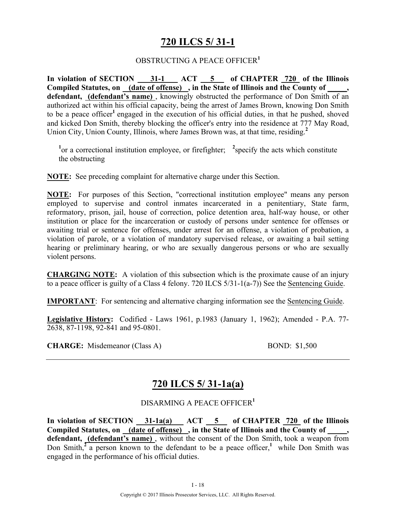# **720 ILCS 5/ 31-1**

#### OBSTRUCTING A PEACE OFFICER**<sup>1</sup>**

In violation of SECTION 31-1 ACT 5 of CHAPTER 720 of the Illinois **Compiled Statutes, on (date of offense) , in the State of Illinois and the County of \_\_\_\_\_, defendant, (defendant's name)** , knowingly obstructed the performance of Don Smith of an authorized act within his official capacity, being the arrest of James Brown, knowing Don Smith to be a peace officer**<sup>1</sup>**engaged in the execution of his official duties, in that he pushed, shoved and kicked Don Smith, thereby blocking the officer's entry into the residence at 777 May Road, Union City, Union County, Illinois, where James Brown was, at that time, residing.**<sup>2</sup>**

<sup>1</sup><sup>or</sup> a correctional institution employee, or firefighter; <sup>2</sup> specify the acts which constitute the obstructing

**NOTE:** See preceding complaint for alternative charge under this Section.

**NOTE:** For purposes of this Section, "correctional institution employee" means any person employed to supervise and control inmates incarcerated in a penitentiary, State farm, reformatory, prison, jail, house of correction, police detention area, half-way house, or other institution or place for the incarceration or custody of persons under sentence for offenses or awaiting trial or sentence for offenses, under arrest for an offense, a violation of probation, a violation of parole, or a violation of mandatory supervised release, or awaiting a bail setting hearing or preliminary hearing, or who are sexually dangerous persons or who are sexually violent persons.

**CHARGING NOTE:** A violation of this subsection which is the proximate cause of an injury to a peace officer is guilty of a Class 4 felony. 720 ILCS 5/31-1(a-7)) See the Sentencing Guide.

**IMPORTANT**: For sentencing and alternative charging information see the Sentencing Guide.

**Legislative History:** Codified - Laws 1961, p.1983 (January 1, 1962); Amended - P.A. 77- 2638, 87-1198, 92-841 and 95-0801.

**CHARGE:** Misdemeanor (Class A) BOND: \$1,500

## **720 ILCS 5/ 31-1a(a)**

#### DISARMING A PEACE OFFICER**<sup>1</sup>**

In violation of SECTION 31-1a(a) ACT 5 of CHAPTER 720 of the Illinois Compiled Statutes, on (date of offense), in the State of Illinois and the County of **defendant, (defendant's name)** , without the consent of the Don Smith, took a weapon from Don Smith, $\frac{2}{3}$  person known to the defendant to be a peace officer, while Don Smith was engaged in the performance of his official duties.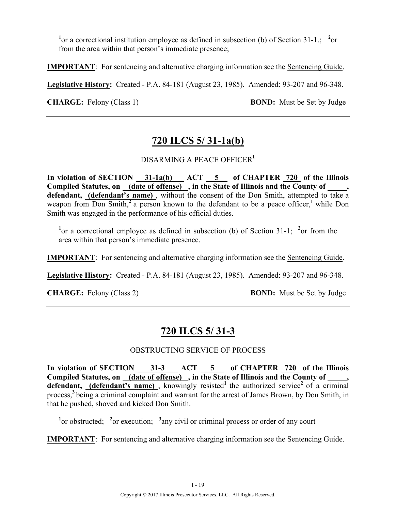<sup>1</sup> or a correctional institution employee as defined in subsection (b) of Section 31-1.; <sup>2</sup> or from the area within that person's immediate presence;

**IMPORTANT**: For sentencing and alternative charging information see the Sentencing Guide.

**Legislative History:** Created - P.A. 84-181 (August 23, 1985). Amended: 93-207 and 96-348.

**CHARGE:** Felony (Class 1) **BOND:** Must be Set by Judge

## **720 ILCS 5/ 31-1a(b)**

#### DISARMING A PEACE OFFICER**<sup>1</sup>**

**In violation of SECTION 31-1a(b) ACT 5 of CHAPTER 720 of the Illinois**  Compiled Statutes, on (date of offense), in the State of Illinois and the County of  $\cdots$ **defendant, (defendant's name)** , without the consent of the Don Smith, attempted to take a weapon from Don Smith,<sup>2</sup> a person known to the defendant to be a peace officer,<sup>1</sup> while Don Smith was engaged in the performance of his official duties.

<sup>1</sup> or a correctional employee as defined in subsection (b) of Section 31-1; <sup>2</sup> or from the area within that person's immediate presence.

**IMPORTANT**: For sentencing and alternative charging information see the **Sentencing Guide**.

**Legislative History:** Created - P.A. 84-181 (August 23, 1985). Amended: 93-207 and 96-348.

**CHARGE:** Felony (Class 2) **BOND:** Must be Set by Judge

## **720 ILCS 5/ 31-3**

#### OBSTRUCTING SERVICE OF PROCESS

In violation of SECTION 31-3 ACT 5 of CHAPTER 720 of the Illinois **Compiled Statutes, on (date of offense) , in the State of Illinois and the County of \_\_\_\_\_,**  defendant, **(defendant's name)**, knowingly resisted<sup>1</sup> the authorized service<sup>2</sup> of a criminal process,**<sup>3</sup>**being a criminal complaint and warrant for the arrest of James Brown, by Don Smith, in that he pushed, shoved and kicked Don Smith.

<sup>1</sup><sup>or</sup> obstructed; <sup>2</sup><sup>or</sup> execution; <sup>3</sup> any civil or criminal process or order of any court

**IMPORTANT**: For sentencing and alternative charging information see the Sentencing Guide.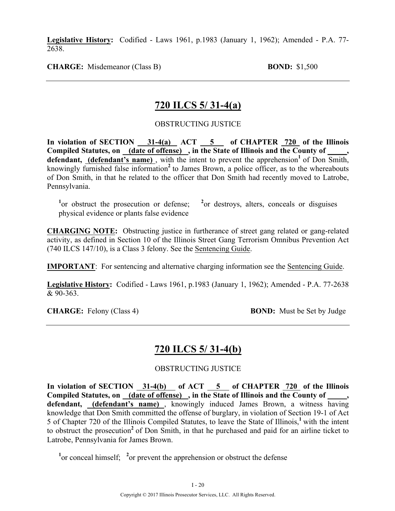**Legislative History:** Codified - Laws 1961, p.1983 (January 1, 1962); Amended - P.A. 77- 2638.

**CHARGE:** Misdemeanor (Class B) **BOND:** \$1,500

### **720 ILCS 5/ 31-4(a)**

#### OBSTRUCTING JUSTICE

In violation of SECTION 31-4(a) ACT 5 of CHAPTER 720 of the Illinois Compiled Statutes, on (date of offense), in the State of Illinois and the County of **defendant, (defendant's name)**, with the intent to prevent the apprehension<sup>1</sup> of Don Smith, knowingly furnished false information<sup>2</sup> to James Brown, a police officer, as to the whereabouts of Don Smith, in that he related to the officer that Don Smith had recently moved to Latrobe, Pennsylvania.

<sup>1</sup> or obstruct the prosecution or defense; <sup>2</sup> <sup>2</sup> or destroys, alters, conceals or disguises physical evidence or plants false evidence

**CHARGING NOTE:** Obstructing justice in furtherance of street gang related or gang-related activity, as defined in Section 10 of the Illinois Street Gang Terrorism Omnibus Prevention Act (740 ILCS 147/10), is a Class 3 felony. See the Sentencing Guide.

**IMPORTANT**: For sentencing and alternative charging information see the Sentencing Guide.

**Legislative History:** Codified - Laws 1961, p.1983 (January 1, 1962); Amended - P.A. 77-2638  $& 90 - 363$ 

**CHARGE:** Felony (Class 4) **BOND:** Must be Set by Judge

### **720 ILCS 5/ 31-4(b)**

#### OBSTRUCTING JUSTICE

In violation of SECTION 31-4(b) of ACT 5 of CHAPTER 720 of the Illinois Compiled Statutes, on (date of offense), in the State of Illinois and the County of **defendant, (defendant's name)** , knowingly induced James Brown, a witness having knowledge that Don Smith committed the offense of burglary, in violation of Section 19-1 of Act 5 of Chapter 720 of the Illinois Compiled Statutes, to leave the State of Illinois,**<sup>1</sup>**with the intent to obstruct the prosecution**<sup>2</sup>**of Don Smith, in that he purchased and paid for an airline ticket to Latrobe, Pennsylvania for James Brown.

<sup>1</sup><sup>or</sup> conceal himself;  $\frac{2}{x}$  or prevent the apprehension or obstruct the defense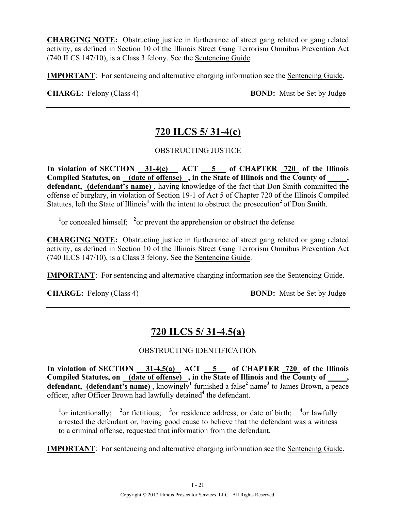**CHARGING NOTE:** Obstructing justice in furtherance of street gang related or gang related activity, as defined in Section 10 of the Illinois Street Gang Terrorism Omnibus Prevention Act (740 ILCS 147/10), is a Class 3 felony. See the Sentencing Guide.

**IMPORTANT**: For sentencing and alternative charging information see the Sentencing Guide.

**CHARGE:** Felony (Class 4) **BOND:** Must be Set by Judge

# **720 ILCS 5/ 31-4(c)**

OBSTRUCTING JUSTICE

In violation of SECTION 31-4(c) ACT 5 of CHAPTER 720 of the Illinois **Compiled Statutes, on (date of offense) , in the State of Illinois and the County of \_\_\_\_\_, defendant, (defendant's name)** , having knowledge of the fact that Don Smith committed the offense of burglary, in violation of Section 19-1 of Act 5 of Chapter 720 of the Illinois Compiled Statutes, left the State of Illinois<sup>1</sup> with the intent to obstruct the prosecution<sup>2</sup> of Don Smith.

<sup>1</sup><sup>or</sup> concealed himself;  $\frac{2}{x}$  or prevent the apprehension or obstruct the defense

**CHARGING NOTE:** Obstructing justice in furtherance of street gang related or gang related activity, as defined in Section 10 of the Illinois Street Gang Terrorism Omnibus Prevention Act (740 ILCS 147/10), is a Class 3 felony. See the Sentencing Guide.

**IMPORTANT**: For sentencing and alternative charging information see the Sentencing Guide.

**CHARGE:** Felony (Class 4) **BOND:** Must be Set by Judge

# **720 ILCS 5/ 31-4.5(a)**

#### OBSTRUCTING IDENTIFICATION

**In violation of SECTION 31-4.5(a) ACT 5 of CHAPTER 720 of the Illinois**  Compiled Statutes, on \_(date of offense) , in the State of Illinois and the County of \_\_\_\_, **defendant, (defendant's name)** , knowingly**<sup>1</sup>** furnished a false**<sup>2</sup>** name**<sup>3</sup>** to James Brown, a peace officer, after Officer Brown had lawfully detained**<sup>4</sup>** the defendant.

<sup>1</sup><sup>or</sup> intentionally; <sup>2</sup><sup>or</sup> fictitious; <sup>3</sup><sup>or</sup> residence address, or date of birth; <sup>4</sup><sup>or</sup> lawfully arrested the defendant or, having good cause to believe that the defendant was a witness to a criminal offense, requested that information from the defendant.

**IMPORTANT**: For sentencing and alternative charging information see the Sentencing Guide.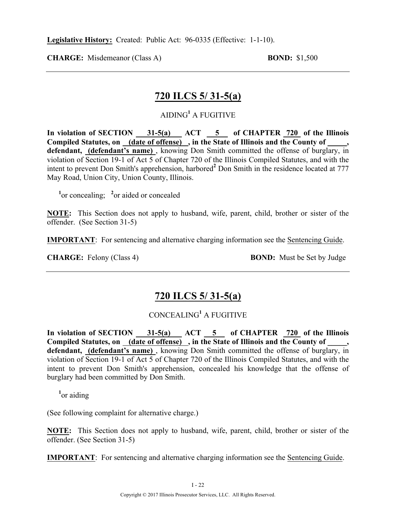**CHARGE:** Misdemeanor (Class A) **BOND:** \$1,500

### **720 ILCS 5/ 31-5(a)**

### AIDING**<sup>1</sup>** A FUGITIVE

In violation of SECTION 31-5(a) ACT 5 of CHAPTER 720 of the Illinois **Compiled Statutes, on (date of offense) , in the State of Illinois and the County of \_\_\_\_\_, defendant, (defendant's name)** , knowing Don Smith committed the offense of burglary, in violation of Section 19-1 of Act 5 of Chapter 720 of the Illinois Compiled Statutes, and with the intent to prevent Don Smith's apprehension, harbored**<sup>2</sup>** Don Smith in the residence located at 777 May Road, Union City, Union County, Illinois.

<sup>1</sup><sup>or</sup> concealing; <sup>2</sup><sub>or</sub> aided or concealed

**NOTE:** This Section does not apply to husband, wife, parent, child, brother or sister of the offender. (See Section 31-5)

**IMPORTANT**: For sentencing and alternative charging information see the Sentencing Guide.

**CHARGE:** Felony (Class 4) **BOND:** Must be Set by Judge

### **720 ILCS 5/ 31-5(a)**

### CONCEALING**<sup>1</sup>** A FUGITIVE

In violation of SECTION 31-5(a) ACT 5 of CHAPTER 720 of the Illinois Compiled Statutes, on (date of offense), in the State of Illinois and the County of **defendant, (defendant's name)** , knowing Don Smith committed the offense of burglary, in violation of Section 19-1 of Act 5 of Chapter 720 of the Illinois Compiled Statutes, and with the intent to prevent Don Smith's apprehension, concealed his knowledge that the offense of burglary had been committed by Don Smith.

**1** or aiding

(See following complaint for alternative charge.)

**NOTE:** This Section does not apply to husband, wife, parent, child, brother or sister of the offender. (See Section 31-5)

**IMPORTANT**: For sentencing and alternative charging information see the Sentencing Guide.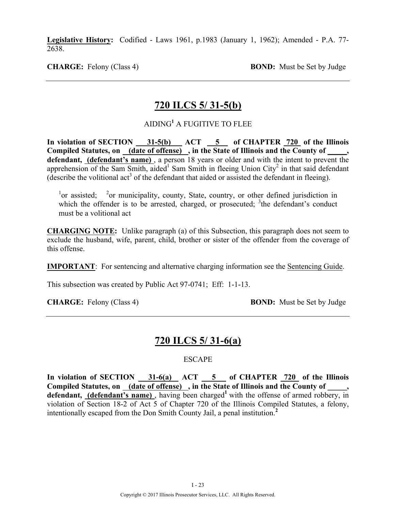**Legislative History:** Codified - Laws 1961, p.1983 (January 1, 1962); Amended - P.A. 77- 2638.

**CHARGE:** Felony (Class 4) **BOND:** Must be Set by Judge

### **720 ILCS 5/ 31-5(b)**

### AIDING**<sup>1</sup>** A FUGITIVE TO FLEE

In violation of SECTION 31-5(b) ACT 5 of CHAPTER 720 of the Illinois **Compiled Statutes, on (date of offense) , in the State of Illinois and the County of \_\_\_\_\_, defendant, (defendant's name)** , a person 18 years or older and with the intent to prevent the apprehension of the Sam Smith, aided<sup>1</sup> Sam Smith in fleeing Union City<sup>2</sup> in that said defendant (describe the volitional  $\text{act}^3$  of the defendant that aided or assisted the defendant in fleeing).

 $^{1}$ or assisted;  $^{2}$ <sup>2</sup> or municipality, county, State, country, or other defined jurisdiction in which the offender is to be arrested, charged, or prosecuted;  ${}^{3}$ the defendant's conduct must be a volitional act

**CHARGING NOTE:** Unlike paragraph (a) of this Subsection, this paragraph does not seem to exclude the husband, wife, parent, child, brother or sister of the offender from the coverage of this offense.

**IMPORTANT**: For sentencing and alternative charging information see the Sentencing Guide.

This subsection was created by Public Act 97-0741; Eff: 1-1-13.

**CHARGE:** Felony (Class 4) **BOND:** Must be Set by Judge

### **720 ILCS 5/ 31-6(a)**

#### ESCAPE

In violation of SECTION 31-6(a) ACT 5 of CHAPTER 720 of the Illinois Compiled Statutes, on (date of offense), in the State of Illinois and the County of \_\_\_\_, defendant, (defendant's name), having been charged<sup>1</sup> with the offense of armed robbery, in violation of Section 18-2 of Act 5 of Chapter 720 of the Illinois Compiled Statutes, a felony, intentionally escaped from the Don Smith County Jail, a penal institution.**<sup>2</sup>**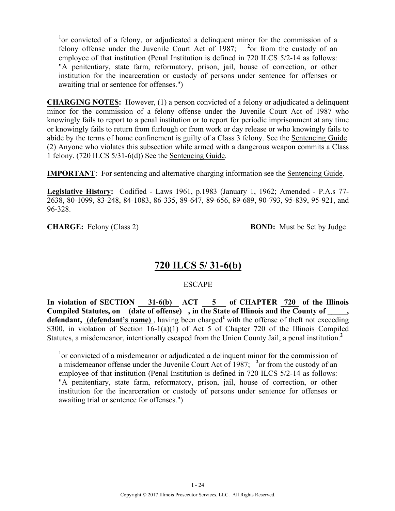<sup>1</sup>or convicted of a felony, or adjudicated a delinquent minor for the commission of a felony offense under the Juvenile Court Act of 1987; <sup>2</sup> or from the custody of an employee of that institution (Penal Institution is defined in 720 ILCS 5/2-14 as follows: "A penitentiary, state farm, reformatory, prison, jail, house of correction, or other institution for the incarceration or custody of persons under sentence for offenses or awaiting trial or sentence for offenses.")

**CHARGING NOTES:** However, (1) a person convicted of a felony or adjudicated a delinquent minor for the commission of a felony offense under the Juvenile Court Act of 1987 who knowingly fails to report to a penal institution or to report for periodic imprisonment at any time or knowingly fails to return from furlough or from work or day release or who knowingly fails to abide by the terms of home confinement is guilty of a Class 3 felony. See the Sentencing Guide. (2) Anyone who violates this subsection while armed with a dangerous weapon commits a Class 1 felony. (720 ILCS 5/31-6(d)) See the Sentencing Guide.

**IMPORTANT**: For sentencing and alternative charging information see the Sentencing Guide.

**Legislative History:** Codified - Laws 1961, p.1983 (January 1, 1962; Amended - P.A.s 77- 2638, 80-1099, 83-248, 84-1083, 86-335, 89-647, 89-656, 89-689, 90-793, 95-839, 95-921, and 96-328.

**CHARGE:** Felony (Class 2) **BOND:** Must be Set by Judge

### **720 ILCS 5/ 31-6(b)**

#### **ESCAPE**

**In violation of SECTION 31-6(b) ACT 5 of CHAPTER 720 of the Illinois**  Compiled Statutes, on (date of offense), in the State of Illinois and the County of defendant, (defendant's name), having been charged<sup>1</sup> with the offense of theft not exceeding \$300, in violation of Section 16-1(a)(1) of Act 5 of Chapter 720 of the Illinois Compiled Statutes, a misdemeanor, intentionally escaped from the Union County Jail, a penal institution.**<sup>2</sup>**

<sup>1</sup>or convicted of a misdemeanor or adjudicated a delinquent minor for the commission of a misdemeanor offense under the Juvenile Court Act of 1987; <sup>2</sup> or from the custody of an employee of that institution (Penal Institution is defined in 720 ILCS 5/2-14 as follows: "A penitentiary, state farm, reformatory, prison, jail, house of correction, or other institution for the incarceration or custody of persons under sentence for offenses or awaiting trial or sentence for offenses.")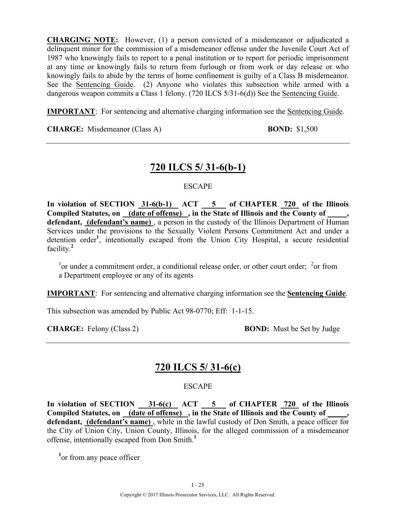**CHARGING NOTE:** However, (1) a person convicted of a misdemeanor or adjudicated a delinquent minor for the commission of a misdemeanor offense under the Juvenile Court Act of 1987 who knowingly fails to report to a penal institution or to report for periodic imprisonment at any time or knowingly fails to return from furlough or from work or day release or who knowingly fails to abide by the terms of home confinement is guilty of a Class B misdemeanor. See the Sentencing Guide. (2) Anyone who violates this subsection while armed with a dangerous weapon commits a Class 1 felony. (720 ILCS 5/31-6(d)) See the Sentencing Guide.

**IMPORTANT**: For sentencing and alternative charging information see the Sentencing Guide.

**CHARGE:** Misdemeanor (Class A) **BOND:** \$1,500

### **720 ILCS 5/ 31-6(b-1)**

#### ESCAPE

In violation of SECTION 31-6(b-1) ACT 5 of CHAPTER 720 of the Illinois **Compiled Statutes, on (date of offense) , in the State of Illinois and the County of \_\_\_\_\_,**  defendant, (defendant's name), a person in the custody of the Illinois Department of Human Services under the provisions to the Sexually Violent Persons Commitment Act and under a detention order**<sup>1</sup>** , intentionally escaped from the Union City Hospital, a secure residential facility.**<sup>2</sup>**

 $1$ <sup>1</sup> or under a commitment order, a conditional release order, or other court order;  $2$  or from a Department employee or any of its agents

**IMPORTANT**: For sentencing and alternative charging information see the **Sentencing Guide**.

This subsection was amended by Public Act 98-0770; Eff: 1-1-15.

**CHARGE:** Felony (Class 2) **BOND:** Must be Set by Judge

### **720 ILCS 5/ 31-6(c)**

#### ESCAPE

In violation of SECTION 31-6(c) ACT 5 of CHAPTER 720 of the Illinois **Compiled Statutes, on (date of offense) , in the State of Illinois and the County of \_\_\_\_\_, defendant, (defendant's name)** , while in the lawful custody of Don Smith, a peace officer for the City of Union City, Union County, Illinois, for the alleged commission of a misdemeanor offense, intentionally escaped from Don Smith.**<sup>1</sup>**

<sup>1</sup> or from any peace officer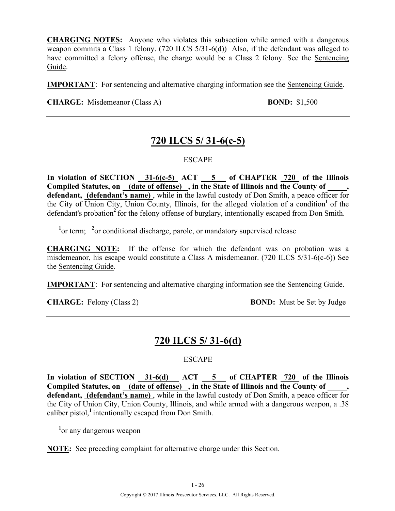**CHARGING NOTES:** Anyone who violates this subsection while armed with a dangerous weapon commits a Class 1 felony. (720 ILCS 5/31-6(d)) Also, if the defendant was alleged to have committed a felony offense, the charge would be a Class 2 felony. See the Sentencing Guide.

**IMPORTANT**: For sentencing and alternative charging information see the Sentencing Guide.

**CHARGE:** Misdemeanor (Class A) **BOND:** \$1,500

### **720 ILCS 5/ 31-6(c-5)**

#### **ESCAPE**

**In violation of SECTION 31-6(c-5) ACT 5 of CHAPTER 720 of the Illinois Compiled Statutes, on (date of offense) , in the State of Illinois and the County of \_\_\_\_\_, defendant, (defendant's name)** , while in the lawful custody of Don Smith, a peace officer for the City of  $\overline{Union City}$ , Union County, Illinois, for the alleged violation of a condition<sup>1</sup> of the defendant's probation<sup>2</sup> for the felony offense of burglary, intentionally escaped from Don Smith.

<sup>1</sup> or term; <sup>2</sup> or conditional discharge, parole, or mandatory supervised release

**CHARGING NOTE:** If the offense for which the defendant was on probation was a misdemeanor, his escape would constitute a Class A misdemeanor. (720 ILCS 5/31-6(c-6)) See the Sentencing Guide.

**IMPORTANT**: For sentencing and alternative charging information see the Sentencing Guide.

**CHARGE:** Felony (Class 2) **BOND:** Must be Set by Judge

### **720 ILCS 5/ 31-6(d)**

#### **ESCAPE**

In violation of SECTION 31-6(d) ACT 5 of CHAPTER 720 of the Illinois Compiled Statutes, on <u>(date of offense)</u>, in the State of Illinois and the County of defendant, (defendant's name), while in the lawful custody of Don Smith, a peace officer for the City of Union City, Union County, Illinois, and while armed with a dangerous weapon, a .38 caliber pistol,**<sup>1</sup>**intentionally escaped from Don Smith.

<sup>1</sup> or any dangerous weapon

**NOTE:** See preceding complaint for alternative charge under this Section.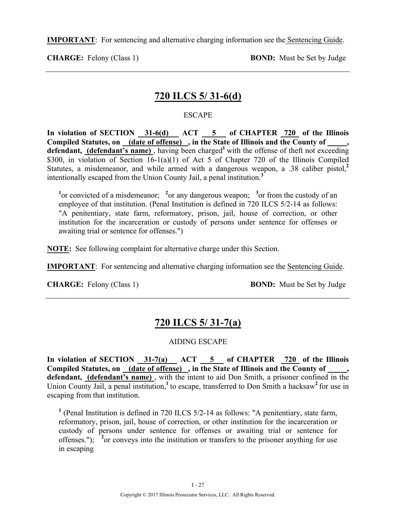**IMPORTANT**: For sentencing and alternative charging information see the Sentencing Guide.

**CHARGE:** Felony (Class 1) **BOND:** Must be Set by Judge

### **720 ILCS 5/ 31-6(d)**

#### ESCAPE

In violation of SECTION 31-6(d) ACT 5 of CHAPTER 720 of the Illinois **Compiled Statutes, on (date of offense) , in the State of Illinois and the County of \_\_\_\_\_, defendant, (defendant's name),** having been charged<sup>1</sup> with the offense of theft not exceeding \$300, in violation of Section 16-1(a)(1) of Act 5 of Chapter 720 of the Illinois Compiled Statutes, a misdemeanor, and while armed with a dangerous weapon, a .38 caliber pistol,**<sup>2</sup>** intentionally escaped from the Union County Jail, a penal institution.**<sup>3</sup>**

<sup>1</sup><sup>or</sup> convicted of a misdemeanor; <sup>2</sup><sup>or</sup> any dangerous weapon; <sup>3</sup><sup>or</sup> from the custody of an employee of that institution. (Penal Institution is defined in 720 ILCS 5/2-14 as follows: "A penitentiary, state farm, reformatory, prison, jail, house of correction, or other institution for the incarceration or custody of persons under sentence for offenses or awaiting trial or sentence for offenses.")

**NOTE:** See following complaint for alternative charge under this Section.

**IMPORTANT**: For sentencing and alternative charging information see the Sentencing Guide.

**CHARGE:** Felony (Class 1) **BOND:** Must be Set by Judge

## **720 ILCS 5/ 31-7(a)**

#### AIDING ESCAPE

**In violation of SECTION 31-7(a) ACT 5 of CHAPTER 720 of the Illinois Compiled Statutes, on (date of offense) , in the State of Illinois and the County of \_\_\_\_\_, defendant, (defendant's name)** , with the intent to aid Don Smith, a prisoner confined in the Union County Jail, a penal institution,<sup>1</sup> to escape, transferred to Don Smith a hacksaw<sup>2</sup> for use in escaping from that institution.

**<sup>1</sup>** (Penal Institution is defined in 720 ILCS 5/2-14 as follows: "A penitentiary, state farm, reformatory, prison, jail, house of correction, or other institution for the incarceration or custody of persons under sentence for offenses or awaiting trial or sentence for offenses."); <sup>2</sup> or conveys into the institution or transfers to the prisoner anything for use in escaping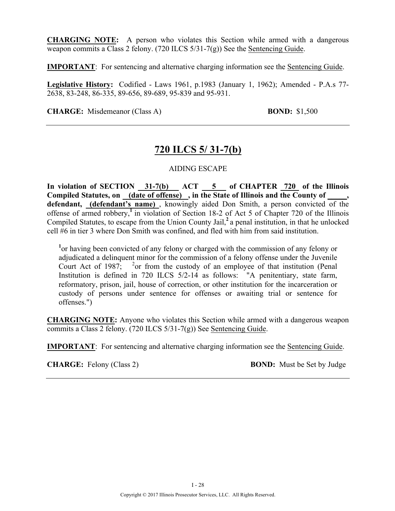**CHARGING NOTE:** A person who violates this Section while armed with a dangerous weapon commits a Class 2 felony. (720 ILCS 5/31-7(g)) See the Sentencing Guide.

**IMPORTANT**: For sentencing and alternative charging information see the Sentencing Guide.

**Legislative History:** Codified - Laws 1961, p.1983 (January 1, 1962); Amended - P.A.s 77- 2638, 83-248, 86-335, 89-656, 89-689, 95-839 and 95-931.

**CHARGE:** Misdemeanor (Class A) **BOND:** \$1,500

### **720 ILCS 5/ 31-7(b)**

#### AIDING ESCAPE

**In violation of SECTION 31-7(b) ACT 5 of CHAPTER 720 of the Illinois Compiled Statutes, on (date of offense) , in the State of Illinois and the County of \_\_\_\_\_, defendant, (defendant's name)** , knowingly aided Don Smith, a person convicted of the offense of armed robbery,**<sup>1</sup>**in violation of Section 18-2 of Act 5 of Chapter 720 of the Illinois Compiled Statutes, to escape from the Union County Jail,**<sup>2</sup>**a penal institution, in that he unlocked cell #6 in tier 3 where Don Smith was confined, and fled with him from said institution.

<sup>1</sup> or having been convicted of any felony or charged with the commission of any felony or adjudicated a delinquent minor for the commission of a felony offense under the Juvenile Court Act of 1987;  $\frac{2}{3}$  or from the custody of an employee of that institution (Penal Institution is defined in 720 ILCS 5/2-14 as follows: "A penitentiary, state farm, reformatory, prison, jail, house of correction, or other institution for the incarceration or custody of persons under sentence for offenses or awaiting trial or sentence for offenses.")

**CHARGING NOTE:** Anyone who violates this Section while armed with a dangerous weapon commits a Class 2 felony. (720 ILCS 5/31-7(g)) See Sentencing Guide.

**IMPORTANT**: For sentencing and alternative charging information see the Sentencing Guide.

**CHARGE:** Felony (Class 2) **BOND:** Must be Set by Judge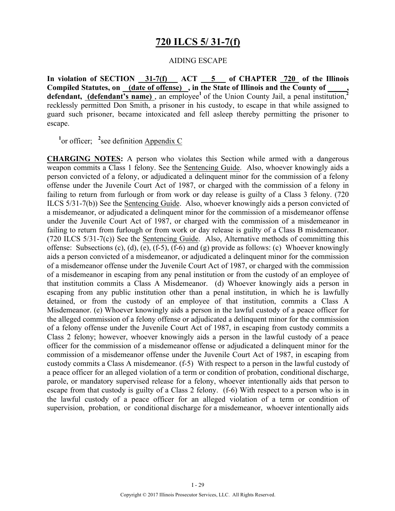### **720 ILCS 5/ 31-7(f)**

#### AIDING ESCAPE

**In violation of SECTION 31-7(f) ACT 5 of CHAPTER 720 of the Illinois Compiled Statutes, on (date of offense) , in the State of Illinois and the County of \_\_\_\_\_,**  defendant, (defendant's name), an employee<sup>1</sup> of the Union County Jail, a penal institution,<sup>2</sup> recklessly permitted Don Smith, a prisoner in his custody, to escape in that while assigned to guard such prisoner, became intoxicated and fell asleep thereby permitting the prisoner to escape.

<sup>1</sup> or officer; <sup>2</sup> see definition Appendix C

**CHARGING NOTES:** A person who violates this Section while armed with a dangerous weapon commits a Class 1 felony. See the Sentencing Guide. Also, whoever knowingly aids a person convicted of a felony, or adjudicated a delinquent minor for the commission of a felony offense under the Juvenile Court Act of 1987, or charged with the commission of a felony in failing to return from furlough or from work or day release is guilty of a Class 3 felony. (720 ILCS 5/31-7(b)) See the Sentencing Guide. Also, whoever knowingly aids a person convicted of a misdemeanor, or adjudicated a delinquent minor for the commission of a misdemeanor offense under the Juvenile Court Act of 1987, or charged with the commission of a misdemeanor in failing to return from furlough or from work or day release is guilty of a Class B misdemeanor. (720 ILCS 5/31-7(c)) See the Sentencing Guide. Also, Alternative methods of committing this offense: Subsections (c), (d), (e), (f-5), (f-6) and (g) provide as follows: (c) Whoever knowingly aids a person convicted of a misdemeanor, or adjudicated a delinquent minor for the commission of a misdemeanor offense under the Juvenile Court Act of 1987, or charged with the commission of a misdemeanor in escaping from any penal institution or from the custody of an employee of that institution commits a Class A Misdemeanor. (d) Whoever knowingly aids a person in escaping from any public institution other than a penal institution, in which he is lawfully detained, or from the custody of an employee of that institution, commits a Class A Misdemeanor. (e) Whoever knowingly aids a person in the lawful custody of a peace officer for the alleged commission of a felony offense or adjudicated a delinquent minor for the commission of a felony offense under the Juvenile Court Act of 1987, in escaping from custody commits a Class 2 felony; however, whoever knowingly aids a person in the lawful custody of a peace officer for the commission of a misdemeanor offense or adjudicated a delinquent minor for the commission of a misdemeanor offense under the Juvenile Court Act of 1987, in escaping from custody commits a Class A misdemeanor. (f-5) With respect to a person in the lawful custody of a peace officer for an alleged violation of a term or condition of probation, conditional discharge, parole, or mandatory supervised release for a felony, whoever intentionally aids that person to escape from that custody is guilty of a Class 2 felony. (f-6) With respect to a person who is in the lawful custody of a peace officer for an alleged violation of a term or condition of supervision, probation, or conditional discharge for a misdemeanor, whoever intentionally aids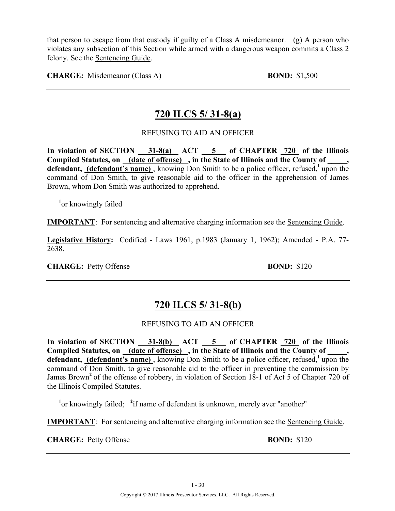that person to escape from that custody if guilty of a Class A misdemeanor. (g) A person who violates any subsection of this Section while armed with a dangerous weapon commits a Class 2 felony. See the Sentencing Guide.

**CHARGE:** Misdemeanor (Class A) **BOND:** \$1,500

### **720 ILCS 5/ 31-8(a)**

#### REFUSING TO AID AN OFFICER

In violation of SECTION 31-8(a) ACT 5 of CHAPTER 720 of the Illinois Compiled Statutes, on (date of offense), in the State of Illinois and the County of, defendant, (defendant's name), knowing Don Smith to be a police officer, refused,<sup>1</sup>upon the command of Don Smith, to give reasonable aid to the officer in the apprehension of James Brown, whom Don Smith was authorized to apprehend.

**1** or knowingly failed

**IMPORTANT**: For sentencing and alternative charging information see the Sentencing Guide.

**Legislative History:** Codified - Laws 1961, p.1983 (January 1, 1962); Amended - P.A. 77- 2638.

**CHARGE:** Petty Offense **BOND:** \$120

### **720 ILCS 5/ 31-8(b)**

#### REFUSING TO AID AN OFFICER

**In violation of SECTION 31-8(b) ACT 5 of CHAPTER 720 of the Illinois**  Compiled Statutes, on \_(date of offense) , in the State of Illinois and the County of \_ **defendant, (defendant's name)** , knowing Don Smith to be a police officer, refused,**<sup>1</sup>**upon the command of Don Smith, to give reasonable aid to the officer in preventing the commission by James Brown<sup>2</sup> of the offense of robbery, in violation of Section 18-1 of Act 5 of Chapter 720 of the Illinois Compiled Statutes.

<sup>1</sup> or knowingly failed; <sup>2</sup> if name of defendant is unknown, merely aver "another"

**IMPORTANT**: For sentencing and alternative charging information see the Sentencing Guide.

**CHARGE:** Petty Offense **BOND:** \$120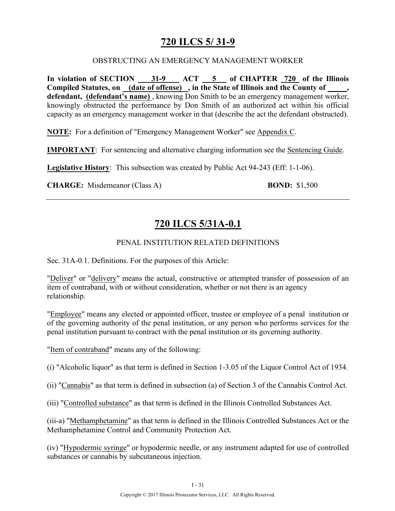## **720 ILCS 5/ 31-9**

#### OBSTRUCTING AN EMERGENCY MANAGEMENT WORKER

In violation of SECTION 31-9 ACT 5 of CHAPTER 720 of the Illinois **Compiled Statutes, on (date of offense) , in the State of Illinois and the County of \_\_\_\_\_, defendant, (defendant's name)** , knowing Don Smith to be an emergency management worker, knowingly obstructed the performance by Don Smith of an authorized act within his official capacity as an emergency management worker in that (describe the act the defendant obstructed).

**NOTE:** For a definition of "Emergency Management Worker" see Appendix C.

**IMPORTANT**: For sentencing and alternative charging information see the Sentencing Guide.

**Legislative History**: This subsection was created by Public Act 94-243 (Eff: 1-1-06).

**CHARGE:** Misdemeanor (Class A) **BOND:** \$1,500

## **720 ILCS 5/31A-0.1**

#### PENAL INSTITUTION RELATED DEFINITIONS

Sec. 31A-0.1. Definitions. For the purposes of this Article:

"Deliver" or "delivery" means the actual, constructive or attempted transfer of possession of an item of contraband, with or without consideration, whether or not there is an agency relationship.

"Employee" means any elected or appointed officer, trustee or employee of a penal institution or of the governing authority of the penal institution, or any person who performs services for the penal institution pursuant to contract with the penal institution or its governing authority.

"Item of contraband" means any of the following:

(i) "Alcoholic liquor" as that term is defined in Section 1-3.05 of the Liquor Control Act of 1934.

- (ii) "Cannabis" as that term is defined in subsection (a) of Section 3 of the Cannabis Control Act.
- (iii) "Controlled substance" as that term is defined in the Illinois Controlled Substances Act.

(iii-a) "Methamphetamine" as that term is defined in the Illinois Controlled Substances Act or the Methamphetamine Control and Community Protection Act.

(iv) "Hypodermic syringe" or hypodermic needle, or any instrument adapted for use of controlled substances or cannabis by subcutaneous injection.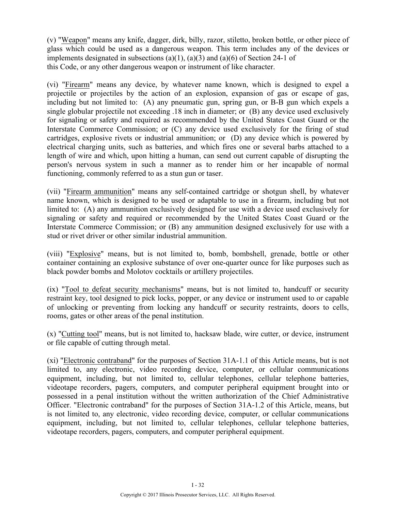(v) "Weapon" means any knife, dagger, dirk, billy, razor, stiletto, broken bottle, or other piece of glass which could be used as a dangerous weapon. This term includes any of the devices or implements designated in subsections (a)(1), (a)(3) and (a)(6) of Section 24-1 of this Code, or any other dangerous weapon or instrument of like character.

(vi) "Firearm" means any device, by whatever name known, which is designed to expel a projectile or projectiles by the action of an explosion, expansion of gas or escape of gas, including but not limited to: (A) any pneumatic gun, spring gun, or B-B gun which expels a single globular projectile not exceeding .18 inch in diameter; or (B) any device used exclusively for signaling or safety and required as recommended by the United States Coast Guard or the Interstate Commerce Commission; or (C) any device used exclusively for the firing of stud cartridges, explosive rivets or industrial ammunition; or (D) any device which is powered by electrical charging units, such as batteries, and which fires one or several barbs attached to a length of wire and which, upon hitting a human, can send out current capable of disrupting the person's nervous system in such a manner as to render him or her incapable of normal functioning, commonly referred to as a stun gun or taser.

(vii) "Firearm ammunition" means any self-contained cartridge or shotgun shell, by whatever name known, which is designed to be used or adaptable to use in a firearm, including but not limited to: (A) any ammunition exclusively designed for use with a device used exclusively for signaling or safety and required or recommended by the United States Coast Guard or the Interstate Commerce Commission; or (B) any ammunition designed exclusively for use with a stud or rivet driver or other similar industrial ammunition.

(viii) "Explosive" means, but is not limited to, bomb, bombshell, grenade, bottle or other container containing an explosive substance of over one-quarter ounce for like purposes such as black powder bombs and Molotov cocktails or artillery projectiles.

(ix) "Tool to defeat security mechanisms" means, but is not limited to, handcuff or security restraint key, tool designed to pick locks, popper, or any device or instrument used to or capable of unlocking or preventing from locking any handcuff or security restraints, doors to cells, rooms, gates or other areas of the penal institution.

(x) "Cutting tool" means, but is not limited to, hacksaw blade, wire cutter, or device, instrument or file capable of cutting through metal.

(xi) "Electronic contraband" for the purposes of Section 31A-1.1 of this Article means, but is not limited to, any electronic, video recording device, computer, or cellular communications equipment, including, but not limited to, cellular telephones, cellular telephone batteries, videotape recorders, pagers, computers, and computer peripheral equipment brought into or possessed in a penal institution without the written authorization of the Chief Administrative Officer. "Electronic contraband" for the purposes of Section 31A-1.2 of this Article, means, but is not limited to, any electronic, video recording device, computer, or cellular communications equipment, including, but not limited to, cellular telephones, cellular telephone batteries, videotape recorders, pagers, computers, and computer peripheral equipment.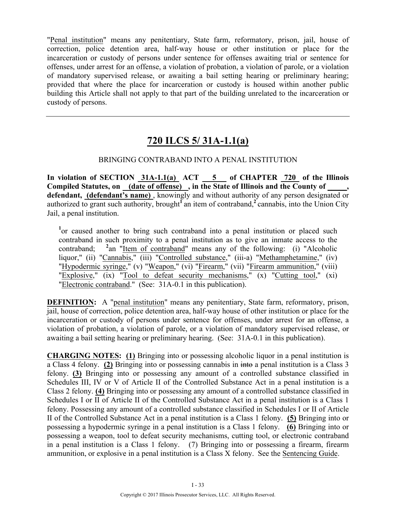"Penal institution" means any penitentiary, State farm, reformatory, prison, jail, house of correction, police detention area, half-way house or other institution or place for the incarceration or custody of persons under sentence for offenses awaiting trial or sentence for offenses, under arrest for an offense, a violation of probation, a violation of parole, or a violation of mandatory supervised release, or awaiting a bail setting hearing or preliminary hearing; provided that where the place for incarceration or custody is housed within another public building this Article shall not apply to that part of the building unrelated to the incarceration or custody of persons.

# **720 ILCS 5/ 31A-1.1(a)**

#### BRINGING CONTRABAND INTO A PENAL INSTITUTION

**In violation of SECTION 31A-1.1(a) ACT 5 of CHAPTER 720 of the Illinois Compiled Statutes, on (date of offense) , in the State of Illinois and the County of \_\_\_\_\_, defendant, (defendant's name)** , knowingly and without authority of any person designated or authorized to grant such authority, brought<sup>1</sup> an item of contraband,<sup>2</sup> cannabis, into the Union City Jail, a penal institution.

<sup>1</sup> or caused another to bring such contraband into a penal institution or placed such contraband in such proximity to a penal institution as to give an inmate access to the contraband; **<sup>2</sup>** <sup>2</sup>an "Item of contraband" means any of the following: (i) "Alcoholic liquor," (ii) "Cannabis," (iii) "Controlled substance," (iii-a) "Methamphetamine," (iv) "Hypodermic syringe," (v) "Weapon," (vi) "Firearm," (vii) "Firearm ammunition," (viii) "Explosive," (ix) "Tool to defeat security mechanisms," (x) "Cutting tool," (xi) "Electronic contraband." (See: 31A-0.1 in this publication).

**DEFINITION:** A "penal institution" means any penitentiary, State farm, reformatory, prison, jail, house of correction, police detention area, half-way house of other institution or place for the incarceration or custody of persons under sentence for offenses, under arrest for an offense, a violation of probation, a violation of parole, or a violation of mandatory supervised release, or awaiting a bail setting hearing or preliminary hearing. (See: 31A-0.1 in this publication).

**CHARGING NOTES: (1)** Bringing into or possessing alcoholic liquor in a penal institution is a Class 4 felony. **(2)** Bringing into or possessing cannabis in into a penal institution is a Class 3 felony. **(3)** Bringing into or possessing any amount of a controlled substance classified in Schedules III, IV or V of Article II of the Controlled Substance Act in a penal institution is a Class 2 felony. **(4)** Bringing into or possessing any amount of a controlled substance classified in Schedules I or II of Article II of the Controlled Substance Act in a penal institution is a Class 1 felony. Possessing any amount of a controlled substance classified in Schedules I or II of Article II of the Controlled Substance Act in a penal institution is a Class 1 felony. **(5)** Bringing into or possessing a hypodermic syringe in a penal institution is a Class 1 felony. **(6)** Bringing into or possessing a weapon, tool to defeat security mechanisms, cutting tool, or electronic contraband in a penal institution is a Class 1 felony. (7) Bringing into or possessing a firearm, firearm ammunition, or explosive in a penal institution is a Class X felony. See the Sentencing Guide.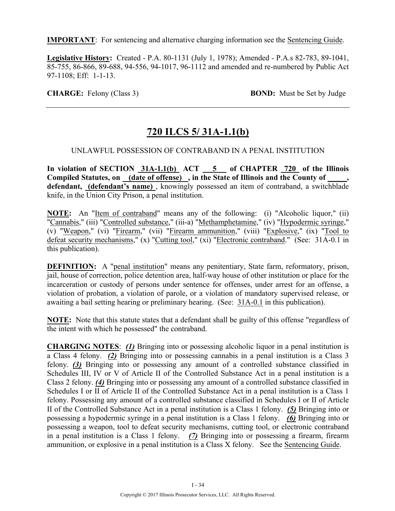**IMPORTANT**: For sentencing and alternative charging information see the Sentencing Guide.

**Legislative History:** Created - P.A. 80-1131 (July 1, 1978); Amended - P.A.s 82-783, 89-1041, 85-755, 86-866, 89-688, 94-556, 94-1017, 96-1112 and amended and re-numbered by Public Act 97-1108; Eff: 1-1-13.

**CHARGE:** Felony (Class 3) **BOND:** Must be Set by Judge

# **720 ILCS 5/ 31A-1.1(b)**

#### UNLAWFUL POSSESSION OF CONTRABAND IN A PENAL INSTITUTION

In violation of SECTION 31A-1.1(b) ACT 5 of CHAPTER 720 of the Illinois Compiled Statutes, on <u>(date of offense)</u>, in the State of Illinois and the County of **defendant, (defendant's name)** , knowingly possessed an item of contraband, a switchblade knife, in the Union City Prison, a penal institution.

**NOTE:** An "Item of contraband" means any of the following: (i) "Alcoholic liquor," (ii) "Cannabis," (iii) "Controlled substance," (iii-a) "Methamphetamine," (iv) "Hypodermic syringe," (v) "Weapon," (vi) "Firearm," (vii) "Firearm ammunition," (viii) "Explosive," (ix) "Tool to defeat security mechanisms," (x) "Cutting tool," (xi) "Electronic contraband." (See: 31A-0.1 in this publication).

**DEFINITION:** A "penal institution" means any penitentiary, State farm, reformatory, prison, jail, house of correction, police detention area, half-way house of other institution or place for the incarceration or custody of persons under sentence for offenses, under arrest for an offense, a violation of probation, a violation of parole, or a violation of mandatory supervised release, or awaiting a bail setting hearing or preliminary hearing. (See: 31A-0.1 in this publication).

**NOTE:** Note that this statute states that a defendant shall be guilty of this offense "regardless of the intent with which he possessed" the contraband.

**CHARGING NOTES**: *(1)* Bringing into or possessing alcoholic liquor in a penal institution is a Class 4 felony. *(2)* Bringing into or possessing cannabis in a penal institution is a Class 3 felony. *(3)* Bringing into or possessing any amount of a controlled substance classified in Schedules III, IV or V of Article II of the Controlled Substance Act in a penal institution is a Class 2 felony. *(4)* Bringing into or possessing any amount of a controlled substance classified in Schedules I or II of Article II of the Controlled Substance Act in a penal institution is a Class 1 felony. Possessing any amount of a controlled substance classified in Schedules I or II of Article II of the Controlled Substance Act in a penal institution is a Class 1 felony. *(5)* Bringing into or possessing a hypodermic syringe in a penal institution is a Class 1 felony. *(6)* Bringing into or possessing a weapon, tool to defeat security mechanisms, cutting tool, or electronic contraband in a penal institution is a Class 1 felony. *(7)* Bringing into or possessing a firearm, firearm ammunition, or explosive in a penal institution is a Class X felony. See the Sentencing Guide.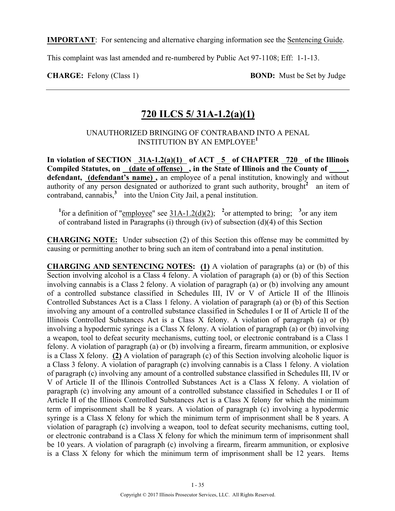**IMPORTANT**: For sentencing and alternative charging information see the Sentencing Guide.

This complaint was last amended and re-numbered by Public Act 97-1108; Eff: 1-1-13.

**CHARGE:** Felony (Class 1) **BOND:** Must be Set by Judge

### **720 ILCS 5/ 31A-1.2(a)(1)**

#### UNAUTHORIZED BRINGING OF CONTRABAND INTO A PENAL INSTITUTION BY AN EMPLOYEE**<sup>1</sup>**

In violation of SECTION 31A-1.2(a)(1) of ACT 5 of CHAPTER 720 of the Illinois Compiled Statutes, on (date of offense), in the State of Illinois and the County of **defendant, (defendant's name) ,** an employee of a penal institution, knowingly and without authority of any person designated or authorized to grant such authority, brought<sup>2</sup> an item of contraband, cannabis,<sup>3</sup> into the Union City Jail, a penal institution.

<sup>1</sup>for a definition of "employee" see  $31A-1.2(d)(2)$ ; <sup>2</sup> or attempted to bring; <sup>3</sup> or any item of contraband listed in Paragraphs (i) through (iv) of subsection (d)(4) of this Section

**CHARGING NOTE:** Under subsection (2) of this Section this offense may be committed by causing or permitting another to bring such an item of contraband into a penal institution.

**CHARGING AND SENTENCING NOTES: (1)** A violation of paragraphs (a) or (b) of this Section involving alcohol is a Class 4 felony. A violation of paragraph (a) or (b) of this Section involving cannabis is a Class 2 felony. A violation of paragraph (a) or (b) involving any amount of a controlled substance classified in Schedules III, IV or V of Article II of the Illinois Controlled Substances Act is a Class 1 felony. A violation of paragraph (a) or (b) of this Section involving any amount of a controlled substance classified in Schedules I or II of Article II of the Illinois Controlled Substances Act is a Class X felony. A violation of paragraph (a) or (b) involving a hypodermic syringe is a Class X felony. A violation of paragraph (a) or (b) involving a weapon, tool to defeat security mechanisms, cutting tool, or electronic contraband is a Class 1 felony. A violation of paragraph (a) or (b) involving a firearm, firearm ammunition, or explosive is a Class X felony. **(2)** A violation of paragraph (c) of this Section involving alcoholic liquor is a Class 3 felony. A violation of paragraph (c) involving cannabis is a Class 1 felony. A violation of paragraph (c) involving any amount of a controlled substance classified in Schedules III, IV or V of Article II of the Illinois Controlled Substances Act is a Class X felony. A violation of paragraph (c) involving any amount of a controlled substance classified in Schedules I or II of Article II of the Illinois Controlled Substances Act is a Class X felony for which the minimum term of imprisonment shall be 8 years. A violation of paragraph (c) involving a hypodermic syringe is a Class X felony for which the minimum term of imprisonment shall be 8 years. A violation of paragraph (c) involving a weapon, tool to defeat security mechanisms, cutting tool, or electronic contraband is a Class X felony for which the minimum term of imprisonment shall be 10 years. A violation of paragraph (c) involving a firearm, firearm ammunition, or explosive is a Class X felony for which the minimum term of imprisonment shall be 12 years. Items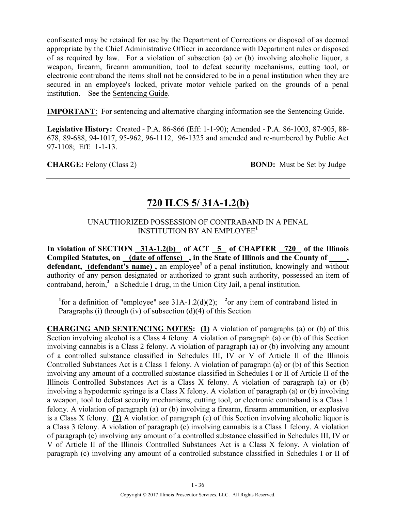confiscated may be retained for use by the Department of Corrections or disposed of as deemed appropriate by the Chief Administrative Officer in accordance with Department rules or disposed of as required by law. For a violation of subsection (a) or (b) involving alcoholic liquor, a weapon, firearm, firearm ammunition, tool to defeat security mechanisms, cutting tool, or electronic contraband the items shall not be considered to be in a penal institution when they are secured in an employee's locked, private motor vehicle parked on the grounds of a penal institution. See the Sentencing Guide.

**IMPORTANT**: For sentencing and alternative charging information see the Sentencing Guide.

**Legislative History:** Created - P.A. 86-866 (Eff: 1-1-90); Amended - P.A. 86-1003, 87-905, 88- 678, 89-688, 94-1017, 95-962, 96-1112, 96-1325 and amended and re-numbered by Public Act 97-1108; Eff: 1-1-13.

**CHARGE:** Felony (Class 2) **BOND:** Must be Set by Judge

### **720 ILCS 5/ 31A-1.2(b)**

#### UNAUTHORIZED POSSESSION OF CONTRABAND IN A PENAL INSTITUTION BY AN EMPLOYEE**<sup>1</sup>**

In violation of SECTION 31A-1.2(b) of ACT 5 of CHAPTER 720 of the Illinois Compiled Statutes, on (date of offense), in the State of Illinois and the County of \_\_\_\_, defendant, (defendant's name), an employee<sup>1</sup> of a penal institution, knowingly and without authority of any person designated or authorized to grant such authority, possessed an item of contraband, heroin,<sup>2</sup> a Schedule I drug, in the Union City Jail, a penal institution.

<sup>1</sup>for a definition of "*employee*" see 31A-1.2(d)(2); <sup>2</sup> or any item of contraband listed in Paragraphs (i) through (iv) of subsection (d)(4) of this Section

**CHARGING AND SENTENCING NOTES: (1)** A violation of paragraphs (a) or (b) of this Section involving alcohol is a Class 4 felony. A violation of paragraph (a) or (b) of this Section involving cannabis is a Class 2 felony. A violation of paragraph (a) or (b) involving any amount of a controlled substance classified in Schedules III, IV or V of Article II of the Illinois Controlled Substances Act is a Class 1 felony. A violation of paragraph (a) or (b) of this Section involving any amount of a controlled substance classified in Schedules I or II of Article II of the Illinois Controlled Substances Act is a Class X felony. A violation of paragraph (a) or (b) involving a hypodermic syringe is a Class X felony. A violation of paragraph (a) or (b) involving a weapon, tool to defeat security mechanisms, cutting tool, or electronic contraband is a Class 1 felony. A violation of paragraph (a) or (b) involving a firearm, firearm ammunition, or explosive is a Class X felony. **(2)** A violation of paragraph (c) of this Section involving alcoholic liquor is a Class 3 felony. A violation of paragraph (c) involving cannabis is a Class 1 felony. A violation of paragraph (c) involving any amount of a controlled substance classified in Schedules III, IV or V of Article II of the Illinois Controlled Substances Act is a Class X felony. A violation of paragraph (c) involving any amount of a controlled substance classified in Schedules I or II of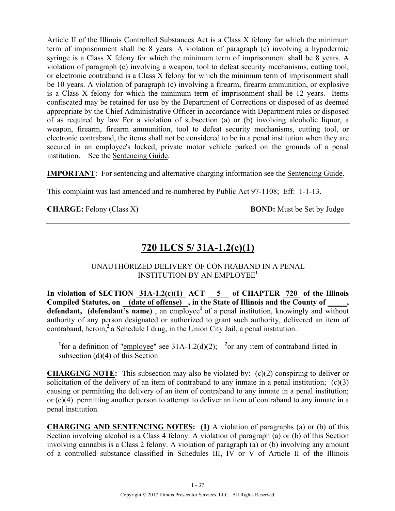Article II of the Illinois Controlled Substances Act is a Class X felony for which the minimum term of imprisonment shall be 8 years. A violation of paragraph (c) involving a hypodermic syringe is a Class X felony for which the minimum term of imprisonment shall be 8 years. A violation of paragraph (c) involving a weapon, tool to defeat security mechanisms, cutting tool, or electronic contraband is a Class X felony for which the minimum term of imprisonment shall be 10 years. A violation of paragraph (c) involving a firearm, firearm ammunition, or explosive is a Class X felony for which the minimum term of imprisonment shall be 12 years. Items confiscated may be retained for use by the Department of Corrections or disposed of as deemed appropriate by the Chief Administrative Officer in accordance with Department rules or disposed of as required by law For a violation of subsection (a) or (b) involving alcoholic liquor, a weapon, firearm, firearm ammunition, tool to defeat security mechanisms, cutting tool, or electronic contraband, the items shall not be considered to be in a penal institution when they are secured in an employee's locked, private motor vehicle parked on the grounds of a penal institution. See the Sentencing Guide.

**IMPORTANT**: For sentencing and alternative charging information see the Sentencing Guide.

This complaint was last amended and re-numbered by Public Act 97-1108; Eff: 1-1-13.

**CHARGE:** Felony (Class X) **BOND:** Must be Set by Judge

# **720 ILCS 5/ 31A-1.2(c)(1)**

#### UNAUTHORIZED DELIVERY OF CONTRABAND IN A PENAL INSTITUTION BY AN EMPLOYEE**<sup>1</sup>**

In violation of SECTION  $31A-1.2(c)(1)$  ACT  $5$  of CHAPTER  $720$  of the Illinois **Compiled Statutes, on (date of offense) , in the State of Illinois and the County of \_\_\_\_\_,**  defendant, (defendant's name), an employee<sup>1</sup> of a penal institution, knowingly and without authority of any person designated or authorized to grant such authority, delivered an item of contraband, heroin,**<sup>2</sup>**a Schedule I drug, in the Union City Jail, a penal institution.

<sup>1</sup>for a definition of "*employee*" see 31A-1.2(d)(2); <sup>2</sup> or any item of contraband listed in subsection (d)(4) of this Section

**CHARGING NOTE:** This subsection may also be violated by: (c)(2) conspiring to deliver or solicitation of the delivery of an item of contraband to any inmate in a penal institution;  $(c)(3)$ causing or permitting the delivery of an item of contraband to any inmate in a penal institution; or (c)(4) permitting another person to attempt to deliver an item of contraband to any inmate in a penal institution.

**CHARGING AND SENTENCING NOTES: (1)** A violation of paragraphs (a) or (b) of this Section involving alcohol is a Class 4 felony. A violation of paragraph (a) or (b) of this Section involving cannabis is a Class 2 felony. A violation of paragraph (a) or (b) involving any amount of a controlled substance classified in Schedules III, IV or V of Article II of the Illinois